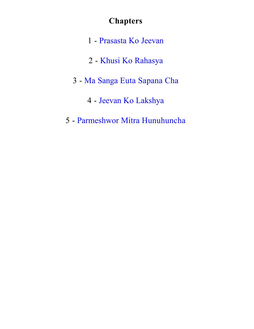# **Chapters**

- [Prasasta](#page-1-0) [Ko](#page-1-0) [Jeevan](#page-1-0)
- [Khusi Ko Rahasya](#page-11-0)
- [Ma](#page-21-0) [Sanga](#page-21-0) [Euta](#page-21-0) [Sapana](#page-21-0) [Cha](#page-21-0)
	- - [Jeevan](#page-31-0) [Ko](#page-31-0) [Lakshya](#page-31-0)
- [Parmeshwor](#page-40-0) [Mitra](#page-40-0) [Hunuhuncha](#page-40-0)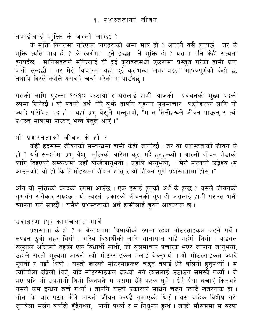<span id="page-1-0"></span>तपाईलाई मुक्ति के जस्तो लाग्छ ?

के मुक्ति विगतमा गरिएका पापहरूको क्षमा मात्र हो ? अवश्यै यसै हुनुपर्छ, तर के मुक्ति त्यति मात्र हो ? के स्वर्गमा हुने ईच्छा नै मुक्ति हो ? यसमा पनि केही सत्यता<br>हुनुपर्दछ । मानिसहरूले मुक्तिलाई यी दुई कुराहरूमध्ये एउटामा प्रस्तुत गरेको हामी प्राय<br>जसो सुन्दछौं । तर मेरो विचारमा यहाँ दुई कुराभन्दा तथापि विरलै कसैले यसबारे चर्चा गरेको म पाउँदछ ।

यसको लागि यूहन्ना १०:१० पल्टाऔं र यसलाई हामी आजको प्रवचनको मुख्य पदको रुपमा लिनेछौं । यो पदको अर्थ थोरै बुभ्रे तापनि यूहन्ना सुसमाचार पढ्नेहरुका लागि यो<br>ज्यादै परिचित पद हो । यहाँ प्रभु येशूले भन्नुभयो, "म त तिनीहरूले जीवन पाऊन् र त्यो प्रशस्त मात्रामा पाऊन् भन्ने हेत्ले आएँ ।"

यो प्रशस्तताको जीवन के हो ?

केही हदसम्म जीवनको सम्बन्धमा हामी केही जान्नेछौं। तर यो प्रशस्तताको जीवन के हो ? यसै सन्दर्भमा प्रभु येशू मुक्तिको बारेमा कुरा गर्दै हुनुहुन्थ्यो । आरुनो जीवन भेडाको<br>लागि दिइएको सम्बन्धमा उहाँ बोल्दैजानुभयो । उहाँले भन्नुभयो, "मेरो मरणको उद्वेश्य (म आउनको) यो हो कि तिमीहरूमा जीवन होस र यो जीवन पर्ण प्रशस्ततामा होस् ।"

अनि यो मुक्तिको केन्द्रको रुपमा आउँछ । एक इसाई हुनुको अर्थ के हुन्छ ? यसले जीवनको<br>गुणसँग सरोकार राख्दछ । यो त्यस्तो प्रकारको जीवनको गुण हो जसलाई हामी प्रशस्त भनी ब्याख्या गर्न सक्छौं । यसैले प्रशस्तताको अर्थ हामीलाई बुरुन आवश्यक छ ।

उदाहरण (१) कामचलाउ मात्रै

प्रशस्तता के हो ? म बेलायतमा बिधार्थीको रुपमा रहँदा मोटरसाइकल चढ्ने गर्थे । लण्डन ठूलो शहर थियो । गरिब बिधार्थीको लागि यातायात साह्रै महँगो थियो । बाइबल स्कूलको अघिल्लो तहको एक बिधार्थी साथी, जो सुसमाचार प्रचारक भएर जापान जानुभयो, उहाँले सस्तो मूल्यमा आरुनो त्यो मोटरसाइकल मॅलाई बेच्नुभयो । यो मोटरसाइकल ज्यादै पूरानो र गह्रौं थियो । यस्तो खाल्को मोटरसाइकल चढ्न तपाईं धेरै बलियो हुनुपर्थ्यो । म<br>त्यतिबेला दहिलो थिएँ, यदि मोटरसाइकल ढल्थ्यो भने त्यसलाई उठाउन समस्यै पर्थ्यो । जे भए पनि यो उपयोगी थियो किनभने म यसमा धेरै पटक घुमें । धेरै पैसा बचाएँ किनभने यसले कम इन्धन खर्च गर्थ्यो । तापनि यस्तो प्रकारको साधन चढ्न ज्यादै खतरनाक हो । तीन कि चार पटक मैंले आरुनो जीवन भ्रुण्डै गुमाएको थिएँ । यस बाहेक बिशेष गरी जुनबेला मसँग बर्षादी हँदैनथ्यो, पानी पर्थ्यो र म<sup>ॅ</sup>निथ्रुक्क हुन्थें । जाडो मौसममा म बरफ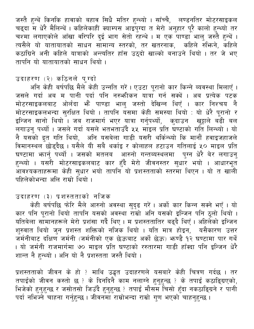जस्तै हुन्थें किनकि हावाको बहाव सिधै मतिर हुन्थ्यो । साँच्चै, लण्डनतिर मोटरसाइकल चढ्दा म धेरै मैलिन्थें । कहिलेकाहीं क्याम्पस आइपुग्दा त मेरो अनुहार पूरै कालो हुन्थ्यो तर चश्मा लगाएकोले आँखा वरिपरि दुई भाग सेतो रहन्थे । म एक पाण्डा भालु जस्तै हुन्थें । त्यसैले यो यातायातको साधन सामान्य स्तरको, तर खतरनाक, कहिले रुभिने, कहिले कठांग्रिने अनी कहिले यात्राको अन्त्यतिर हाँस उठ्दो खाल्को बनाउने थियो । तर जे भए तापनि यो यातायातको साधन थियो ।

# उदाहरण (२) कठिनले पुग्दो

अनि केही बर्षपछि मैले केही उन्नति गरें। एउटा पूरानो कार किन्ने ब्यवस्था मिलाएँ। जसले गर्दा अब म पानी पर्दा पनि नरुभ्तीकन यात्रा गर्न सक्थें । अब प्रत्येक पटक मोटरसाइकलबाट ओर्लंदा भें पाण्डा भालु जस्तो देखिन्न थिएँ । कार निश्चय नै मोटरसाइकलभन्दा सुरक्षित थियो । तापनि यसमा केही समस्या थियो : यो धेरै पूरानो र इन्जिन सानो थियो<sup>ँ</sup>। जब राजमार्ग भएर यात्रा गर्नुपर्थ्यो, कुदाउन खुट्टाले बढी बल लगाउनु पर्थ्यो । जसले गर्दा यसले भतभताउँदै ५५ माइल प्रति घण्टाको गति लिन्थ्यो । यो नै यसको द्रुत गति थियो, अनि यसबेला गाडी यसरी थर्किन्थ्यो कि मानौं हवाइजहाजले विमानस्थल छोड्दैछ। यसैले यी सबै थर्काइ र कोलाहल हटाउन गतिलाई ५० माइल प्रति घण्टामा भ्रार्नु पर्थ्यो । जसको मतलब आरुनो गन्तब्यस्थलमा पुग्न धेरै बेर लगाउनु<br>हुन्थ्यो । यसरी मोटरसाइकलबाट कार हुँदै मेरो जीवनस्तर सुधार भयो । आधारभूत ्<br>आवश्यकताहरूमा केही सुधार भयो तापनि यो प्रशस्तताको स्तरमा थिएन । यो त खाली पहिलेकोभन्दा अलि राम्रो थियो ।

## उदाहरण (३) प्रशस्तताको नजिक

केही बर्षपछि फोरि मैले आरुनो अवस्था सुदृढ गरें। अर्को कार किन्न सक्ने भएँ। यो कार पनि पूरानो थियो तापनि यसको अवस्था राँम्रो अनि यसको इन्जिन पनि ठूलो थियो । यतिबेला सामानहरूले मेरो प्रशंसा गर्दै थिए । म प्रशस्ततातिर बढ्दै थिएँ । अहिलेको इन्जिन शुरुवात थियो जुन प्रशस्त शक्तिको नजिक थियो । यति मात्र होइन, यसैकारण उत्तर जर्मनीबाट दक्षिण जर्मनी (जर्मनीको एक छेऊबाट अर्को छेऊ) भ्रण्डै १२ घण्टामा पार गर्थे । यो जर्मनी राजमार्गमा ७० माइल प्रति घण्टाको ररुतारमा गाडी हाँक्दा पनि इन्जिन धेरै शान्त नै हन्थ्यो । अनि यो नै प्रशस्तता जस्तै थियो ।

प्रशस्तताको जीवन के हो ? माथि उद्धृत उदाहरणले यसबारे केही चित्रण गर्दछ । तर तपाईको जीवन कस्तो छ ? के दिनदिनै काम नलाग्ने हुनुहुन्छ ? के तपाई कठाडि्ग्रएको, भिजेको हुनुहुन्छ र जसोतसो जिउँदै हुनुहुन्छ ? तपाई मौसम चिसो हुँदा नकठाडिग्रने र पानी पर्दा नभिज्ने चाहना गर्नुहुन्छ । जीवनमा राम्रोभन्दा राम्रो गुण भएको चाहनुहुन्छ ।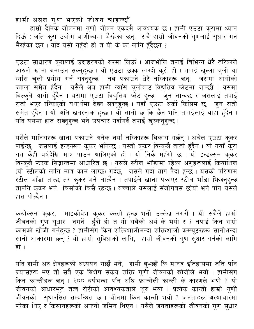हामी असल गुण भएको जीवन चाहन्छौं

हाम्रो दैनिक जीवनमा गुणी जीवन एकदमै आवश्यक छ । हामी एउटा कुरामा ध्यान दिऊँ : जति कुरा उद्योग बाणीज्यमा भैरहेका छन्, सबै हाम्रो जीवनको गुणलाई सुधार गर्न भैरहेका छन्। यदि यसो नहुँदो हो त यी के का लागि हुँदैछन् ?

एउटा साधारण कुरालाई उदाहरणको रुपमा लिऊँ । आजभोलि तपाईं बिभिन्न धेरै तरिकाले ्<br>आरुनो खाना बनाउन सक्नुहुन्छ । यो एउटा छक्क लाग्दो कुरो हो । तपाई खुल्ला चुलो वा<br>ग्याँस चुलो प्रयोग गर्न सक्नुहुन्छ । तब पकाउने धेरै तरिकाहरू छन्, जसमा आगोको ज्वाला समेत हुँदैन । यसैले अब हामी ग्याँस चुलोबाट विद्युतिय प्लेटमा जान्छौं । यसमा बिल्कुलै आगो हुँदैन । यसमा एउटा विद्युतिय प्लेट हुन्छ, जुन तात्दछ र जसलाई तपाई<br>रातो भएर रन्किएको यथार्थमा देख्न सक्नुहुन्छ । यहाँ एउटा अर्को किसिम छ, जुन रातो<br>समेत हुँदैन । यो अलि खतरनाक हुन्छ । यो तातो छ कि छैन भनि तपा यदि यसमा हात राख्नुहुन्छ भने उपचार गर्दागर्दै तपाई खुस्कनुहुन्छ ।

यसैले मानिसहरू खाना पकाउने अनेक नयाँ तरिकाहरू बिकास गर्छन् । अचेल एउटा कुकर पाईन्छ, जसलाई इन्डक्सन कुकर भनिन्छ । यस्तो कुकर विल्कुलै तातो हुँदैन । यो नयाँ कुरा गर ॐ स्वरास २ ३ माल है।<br>गत केही बर्षदेखि मात्र पाउन थालिएको हो । यो निकै महँगो छ । यो इन्डक्सन कुकर .<br>विल्कुलै फरक सिद्धान्तमा आधारित छ । यसले स्टील भाँडामा रहेका अणुहरूलाई कियाशिल<br>(यो स्टीलको लागि मात्र काम लाग्छ) गर्दछ, जसले गर्दा ताप पैदा हुन्छ । यसको परिणाम ्<br>स्टील भाँडा तात्छ तर कुकर भने तात्दैन । तपाईंले खाना पकाएर स्टील भाँडा फिक्नुहुन्छ तापनि कुकर भने चिसोको चिसै रहन्छ । बच्चाले यसलाई संजोगबस छोयो भने पनि यसले हात पोर्ल्दैन ।

कन्भेक्सन कुकर, माइक्रोवेभ कुकर कस्तो हुन्छ भनी उल्लेख नगरौं । यी सबैले हाम्रो<br>जीवनको गुण सुधार नगर्ने हुँदो हो त यी सबैको अर्थ के भयो र ? तपाई किन राम्रो कामको खोजी गर्नुहुन्छ ? हामीसँग किन शक्तिशालीभन्दा शक्तिशाली कम्प्यूटरहरू सानोभन्दा सानो आकारमा छन् ? यो हाम्रो सुबिधाको लागि, हाम्रो जीवनको गुण सुधार गर्नको लागि हो ।

यदि हामी अरु क्षेत्रहरूको अध्ययन गर्छौं भने, हामी बुभ्छौं कि मानव इतिहासमा जति पनि<br>प्रयासहरू भए ती सबै एक बिशेष सकृय शक्ति गुणी जीवनको खोजीले भयो । हामीसँग<br>किन कान्तीहरू छन् । २०० बर्षभन्दा पनि अघि फ्रान्सेली कान्ती के क ्<br>जीवनको आधारभूत तत्व रोटीको आवश्यकताले शुरु भयो । प्रत्येक कान्ती हाम्रो गुणी जीवनको सुधारसित सम्बन्धित छ । चीनमा किन कान्ती भयो ? जनताहरू अत्याचारमा परेका थिए र किसानहरूको आरुनो जमिन थिएन । यसैले जनताहरूको जीवनको गुण सुधार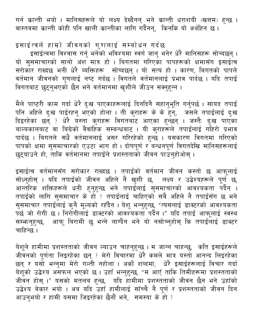गर्न कान्ती भयो । मानिसहरूले यो लक्ष्य देख्दैनन् भने कान्ती धराशयी (खत्तम) हुन्छ । वास्तवमा क्रान्ती कोही पनि खाली कान्तीका लागि गर्दैनन्, किनकि यो अर्थहिन छ।

इसाईत्वले हाम्रो जीवनको गुणलाई सम्बोधन गर्दछ इसाइत्वल हाम्ना गावगका गुरायाद यात्रावत तरहरू<br>दुसाईत्वमा विश्वास गर्नु भनेको भविश्यमा स्वर्ग जानु भनेर धेरै मानिसहरू सोच्दछन् ।<br>यो सुसमाचारको सानो अंश मात्र हो । बिगतमा गरिएका पापहरूको क्षमासँग इसाईत्व<br>सरोकार राख्दछ भनी ध .<br>विगतबाट छुट्नुभएको छैन भने वर्तमानमा खुशीले जीउन सक्नुहन्न ।

मैले पाष्टरी काम गर्दा धेरै दुःख पाएकाहरूलाई दिनदिनै सहानुभूति गर्नुपर्छ । सायद तपाईं पनि अहिले दुःख पाईरहनु भएको होला । ती कुराहरू के के हुन्, जसले तपाईलाई दुःख दिइरहेका छन् ? धेरै यस्ता कुराहरू विगतबाट आएका हुन्छन् । जस्तैः दुःख पाएका ्रियः<br>बाल्यकालबाट वा बिग्रेको वैवाहिक सम्बन्धबाट । यी कुराहरूले तपाईलाई गहिरो प्रभाव पार्दछ । बिगतले सधैँ वर्तमानलाई असर गरिरहेको हुन्छ । यसकारण विगतमा गरिएको .<br>पापको क्षमा सुसमाचारको एउटा भाग हो । दोषपूर्ण र बन्धनपूर्ण विगतदेखि मानिसहरूलाई<br>छुट्याउने हो, ताकि वर्तमानमा तपाईंले प्रशस्तताको जीवन पाउनुहोओस् ।

इसाईत्व वर्तमानसँग सरोकार राख्दछ । तपाईंको वर्तमान जीवन कस्तो छ आफूलाई सोध्नुहोस् । यदि तपाईंको जीवन अहिले नै खुशी छ, लक्ष्य र उद्धेश्यहरूले पूर्ण छ, ्<br>आन्तरिक शक्तिहरूले धनी हुनुहुन्छ भने तपाईलाई सुसमाचारको आवश्यकता पर्दैन ।<br>तपाईको लागि सुसमाचार के हो ? तपाईलाई चाहिएको सबै अहिले नै तपाईसँग छ भने सुसमाचार तपाईँलाई कुनै मूल्यको रहँदैन । येशू भन्नुहुन्छ, "त्यसलाई डाक्टरको आवश्यकता<br>पर्छ जो रोगी छ । निरोगीलाई डाक्टरको आवश्यकता पर्दैन ।" यदि तपाईं आफूलाई स्वस्थ सम्भ्रनहुन्छ, आफु बिरामी छ भन्ने लाग्दैन भने यो नसोच्नुहोसु कि तपाईलाई डाक्टर चाहिन्छ ।

येशूले हामीमा प्रशस्तताको जीवन ल्याउन चाहनुहुन्छ । म जान्न चाहन्छु, कति इसाईहरूले जीवनको पूर्णता लिइरहेका छन् ? मेरो विचारमा धेरै कमले मात्र यस्तो आनन्द लिइरहेका छन् र यसो भन्नुमा मेरो गल्ती नहोला । अर्को शब्दमा, धेरै इसाईहरूलाई विचार गर्दा<br>येशूको उद्धेश्य असफल भएको छ । उहाँ भन्नुहुन्छ, "म आएँ ताकि तिमीहरूमा प्रशस्तताको<br>जीवन होस् ।" यसको मतलब हुन्छ, यदि हामीमा प्रशस्तताको जीवन छ उद्वेश्य बेकार भयो । अब यदि उहाँ हामीलाई साँच्चै नै पूर्ण र प्रशस्तताको जीवन दिन आउन्भयो र हामी यसमा जिइरहेका छैनौं भने, समस्या के हो ?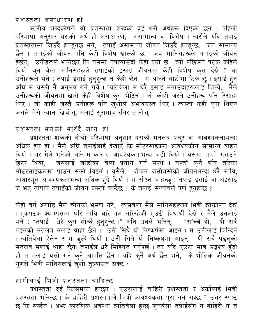प्रशस्तता असाधारण हो

स्तरीय शब्दकोषले यो प्रशस्तता शब्दको दुई थरी अर्थहरू दिएका छन् । पहिलो परिभाषा अनुसार यसको अर्थ हो असाधारण, असामान्य वा विशेष । त्यसैले यदि तपाई प्रशस्ततामा जिउँदै हुनुहुनछ भने, तपाई असामान्य जीवन जिउँदै हुनुहुन्छ, जुन सामान्य<br>छैन । तपाईंको जीवन पनि केही विशेष खाल्को छ । जब मानिसहरूले तपाईंको जीवन हेर्छन्, उनीहरूले भन्नेछन् कि यसमा नपत्याउँदो केही कुरो छ । त्यो पछिल्लो पटक कहिले<br>थियो जुन बेला मानिसहरूले तपाईको इसाई जीवनमा केही विशेष कुरा देखे ? वा उनीहरूले भने : तपाई इसाई हुनुहुन्छ त केही छैन, म आरुनै बाटोमा ठिक छ । इसाई हुन अघि म यसरी नै अनुभव गर्ने गर्थें । त्यतिबेला म<sup>ं</sup>धेरै इसाई भनाउँदाहरूलाई चिन्थें, मैले उनीहरूको जीवनमा खासै केही विशेष कुरा भेटिनँ । जो कोही जस्तै उनीहरू पनि रिसाहा थिए । जो कोही जस्तै उनीहरू पनि खुशीले अभावग्रस्त थिए । त्यस्तो केही कुरा थिएन जसले मेरो ध्यान खिचोस्, मलाई सुसमाचारतिर तानोस् ।

#### प्रशस्तता भनेको भरिंदै जान् हो

प्रशस्तता शब्दको दोश्रो परिभाषा अनुसार यसको मतलब प्रचुर वा आवश्यकताभन्दा अधिक हुनु हो । मैले अघि तपाईलाई देखाएँ कि मोटरसाइकल आवश्यकीय सामान्य वाहन थियो । तर मैले भनेको अन्तिम कार त आवश्यकताभन्दा बढी थियो । यसमा तातो गराउने हिटर थियो, जसलाई जाडोको बेला प्रयोग गर्न सक्थें । यस्तो कुनै पनि तरिका मोटरसाइकलमा पाउन सक्ने थिइनँ । यसैले, जीवन जसोतसोको जीवनभन्दा धेरै माथि, ्णाडरस्य स्वरूपकताभन्दा अधिक हुँदै थियो**ं। म सोध्न चाहन्छु** : तपाई इसाई वा अइसाई जे भए तापनि तपाईको जीवन कस्तोँ चल्दैछ ? के तपाई सन्तोषले पूर्ण हुनुहुन्छ ?

केही बर्ष अगाडि मैले चीनको भ्रमण गरें, त्यसबेला मैले मानिसहरूको भित्री खोकोपन देखें । एकपटक क्याम्पसमा घरि माथि घरि तल गरिरहेकी एउटी बिधार्थी देखें र मैले उनलाई भनें : "तपाईं धेरै कुरा सोच्दै हुनुहुन्छ ।" अनि उनले भनिन्, "साँच्चै हो, यी सबै पढ्नुको मतलब मलाई थाहा छैन<sup>ाँ"</sup> उनी सिधै यो निष्कर्षमा आइन् । म उनीलाई चिन्दिनँ । त्यतिबेला हेलेन र म डुल्दै थियौं । उनी सिधै यो निष्कर्षमा आइन्, यी सबै पढ्नुको मतलब मलाई थाहा छैन। तपाईले धेरै मिहिनेत गर्नुपर्छ । तर यदि एउटा मात्र उद्धेश्य हुँदो हो त मलाई यसो गर्न कुनै आपत्ति छैन । यदि कुनै अर्थ छैन भने,<sup>ं</sup> के भौतिक जीवनको गुणले भित्री मानिसलाई खुशी तुल्याउन सक्छ ?

#### हामीलाई भित्री प्रशस्तता चाहिन्छ

प्रशस्तता दुई किसिमका हुन्छन् । एउटालाई बाहिरी प्रशस्तता र अर्कोलाई भित्री प्रशस्तता भनिन्छ। के बाहिरी प्रशस्तताले भित्री आवश्यकता पूरा गर्न सक्छ ? उत्तर स्पष्ट छ कि सक्दैन । अभ्रु कारुणिक अवस्था त्यतिबेला हुन्छ जुनबेला तपाईसँग न बाहिरी न त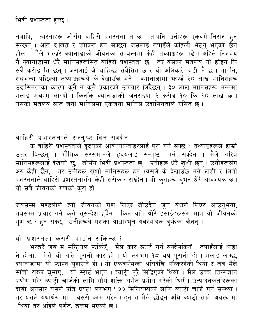तथापि, त्यस्ताहरू जोसँग बाहिरी प्रशस्तता त छ, तापनि उनीहरू एकदमै निराश हुन सक्छन् । अति दुःखित र शोकित हुन सक्छन् जसलाई तपाईले कहिल्यै भेट्नु भएको छैन ति होता । मैले भरखरै क्यानाडाको जीवनका सम्बन्धमा केही तथ्याङ्कहरू पढें । अहिले निश्चय नै क्यानाडामा धेरै मानिसहरूसित बाहिरी प्रशस्तता छ । तर यसको मतलब यो होइन कि सबै करोडपति छन्। जसलाई जे चाहिन्छ सबैसित छ र यो अलिकति बढी नै छ। तापनि, सबभन्दा पछिल्ला तथ्याङ्कहरूले के देखाउँछ भने, क्यानाडामा फण्डै ३० लाख मानिसहरू उदासिनताका कारण कुनै न कुनै प्रकारको उपचार लिँदैछन् । ३० लाख मानिसहरू भन्नुमा मलाई अचम्म लाग्यो । किनकि क्यानाडाको जनसंख्या २ करोड १० कि २० लाख छ । यसको मतलब सात जना मानिसमा एकजना मानिस उदासिनताले ग्रसित छ।

# बाहिरी प्रशस्तताले सन्तुष्ट दिन सक्दैन

के बाहिरी प्रशस्तताले हृदयको आवश्यकताहरलाई पूरा गर्न सक्छ ? तथ्याङ्कहरूले हाम्रो उत्तर दिन्छन् । भौतिक सरसमानले हृदयलाई सन्तुष्ट पार्न सक्दैन । मैले गरिब<br>मानिसहरूलाई देखेको छु, जोसँग-भित्री प्रशस्तता छ, उनीहरू धेरै खुशी छन् । उनीहरूसँग अरु केही छैन, तर उनीहरू खुशी मानिसहरू हुन् (यसले के देखाउँछ भने खुशी र भित्री<br>प्रशस्तताले बाहिरी प्रशस्ततासँग केही सरोकार राख्दैन)। यी कुराहरू बुभन धेरै आवश्यक छ । यी सबै जीवनको गणको करा हो।

जबसम्म मण्डलीले त्यो जीवनको गुण लिएर जीउँदैन जुन येशूले लिएर आउनुभयो,<br>तबसम्म प्रचार गर्ने कुरो सुसन्देश हुँदैन । किन यति थोरै इसाईहरूसँग मात्र यो जीवनको गुण छ ? हुन सक्छ, उनीहरूले यसका आधारभूत अवस्थाहरू बुभ्रेका छैनन् ।

यो प्रशस्तता कसरी पाउँन सकिन्छ ?

भरखरै जब म मन्ट्रियल फर्किएँ, मैले कार स्टार्ट गर्न सक्दैसकिनँ। तपाईलाई थाहा नै होला, मेरो यो अति पूरानो कार हो । यो लगभग १८ वर्ष पूरानो हो । मलाई लाग्छ,<br>क्यानाडामा यो फाल्न सुहाउने हो । यो एकवर्षभन्दा अघिदेखि थन्किरहेको थियो र जब मैले<br>साँचो राखेर घुमाएँ, यो स्टार्ट भएन । ब्याट्री पूरै सिद्धिएको दाबी अनुसार यसले प्रति घण्टा लगभग १०० मिलियम्पको लागि ब्याट्री चार्ज गर्न सक्थ्यो । तर यसले यथार्थरुपमा त्यसरी काम गरेन । हुन त मैले छोड्न अघि ब्याट्री राम्रो अवस्थामा थियो तर अहिले पूर्णतः खत्तम भएको छ।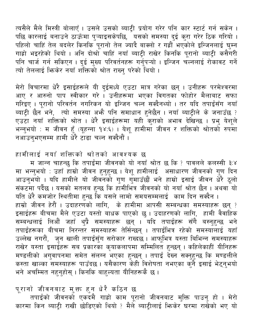त्यसैले मैले मिस्त्री बोलाएँ । उसले उसको ब्याट्री प्रयोग गरेर पनि कार स्टार्ट गर्न सकेन । पछि कारलाई बनाउने ठाऊँमा पुऱ्याइसकेपछि, <sup>्</sup>यसको समस्या दुई कुरा गरेर ठिक गरियो । पहिलो चाहिं तेल बदलेर किनकि पूरानो तेल ज्यादै बाक्लो र गह्रौँ भएकोले इन्जिनलाई घुम्न गाह्रो भइरहेको थियो । अनि दोश्रो चाहिं नयाँ ब्याट्री राखेर किनकि पूरानो ब्याट्री कसैगरी<br>पनि चार्ज गर्न सकिएन । दुई मुख्य परिवर्तनहरू गर्नुपऱ्यो । इन्जिन चल्नलाई रोकावट गर्ने त्यो तेललाई फिकेर नयाँ शक्तिको श्रोत राख्न परेको थियो ।

मेरो विचारमा धेरै इसाईहरूले यी दुईमध्ये एउटा मात्र गरेका छन् । उनीहरू परमेश्वरमा आए र आरुनो पाप स्वीकार गरे । उनीहरूमा भएका विगतका फोहोर मैलाबाट सफा गरिइए । पूरानो परिवर्तन नगरिकन यो इन्जिन चल्न सक्दैनथ्यो । तर यदि तपाईंसँग नयाँ ब्याट्री छैन<sup>ें</sup>भने, त्यो समस्या अभ्रै पनि समाधान हुनेछैन । नयाँ ब्याट्रीले के जनाउँछ ? एउटा नयाँ शक्तिको श्रोत । धेरै इसाईहरूमा यही कुराको अभाव देखिन्छ । प्रभु येशूले भन्नुभयो : म जीवन हुँ (यूहन्ना १४:६) । येशू हामीमा जीवन र शक्तिको श्रोतको रुपमा नआउनुभएसम्म हामी धेरै टाढा चल्न सक्दैनौं ।

हामीलाई नयाँ शक्तिको श्रोतको आवश्यक छ

म जान्न चाहन्छु कि तपाईंमा जीवनको यो नयाँ श्रोत छ कि ? पावलले कलस्सी ३:४ मा भन्नुभयो : उहाँ हाम्रो जीवन हुनुहुन्छ । येशू हामीलाई असाधारण जीवनको गुण दिन आउनुभयो । यदि हामीले यो जीवनको गुण गुमाउँछौं भने हाम्रो इसाई जीवन धेरै ठूलो संकटमा पर्देछ । यसको मतलब हुन्छ कि हामीभित्र जीवनको यो नयाँ श्रोत छैन । अथवा यो यति धेरै कमजोर स्थितीमा हुन्छ कि यसले लामो समयसम्मलाई काम दिन सक्दैन । हाम्रो जीवन हेरौं । उदाहरणको लागि, के हामीमा आपसी सम्बन्धका समस्याहरू छन् ? इसाईहरू बीचमा मैले एउटा यस्तो बाधक पाएको छु । उदाहरणको लागि, हामी वैवाहिक सम्बन्धलाई लिऔं जहाँ थ्प्रै समस्याहरू छन् । यदि तपाईहरू सँगै बस्नुहुन्छ भने तपाईंहरूका बीचमा निरन्तर समस्याहरू तेर्सिन्छन् । तपाईभित्र रहेको समस्यालाई यहाँ उल्लेख नगरौं, जुन खाली तपाईंसुँग सरोकार राख्दछ । आफूभित्र यस्ता बिभिन्न समस्याहरू राखेर यस्ता इसाईहरू सब प्रकारका कृयाकलापमा सम्मिलित हुन्छन् । कहिलेकाहीं यीनिहरू मण्डलीको अगुवापनमा समेत संलग्न भएका हुन्छन् । तपाईं देख्न सक्नुहुन्छ कि मण्डलीले<br>कस्ता खाल्का समस्याहरू पाउँदछ । यसैकारण केही विशेषता नभएका कुनै इसाई भेट्नुभयो भने अचम्मित नहनुहोस् । किनकि बाहुल्यता यीनिहरूकै छ ।

पूरानो जीवनबाट मुक्त हुन धेरै कठिन छ

तपाईंको जीवनको एकदमै गाह्रो काम पूरानो जीवनबाट मुक्ति पाउनु हो । मेरो कारमा किन ब्याट्री राखी छोडिएको थियो ? मैले ब्याट्रीलाई फिकेर घरमा राखेको भए यो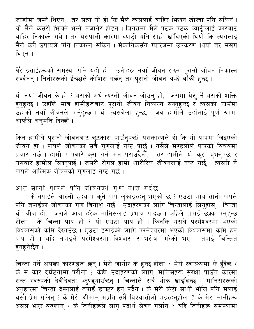जाडोमा जम्ने थिएन, तर सत्य यो हो कि मैले त्यसलाई बाहिर भिज्म खोज्दा पनि सकिनँ। यो मैले कसरी भिन्क्ने भन्ने नजानेर होइन । बिगतमा मैले पटक पटक ब्याटीलाई कारबाट बाहिर निकाल्ने गर्थै । तर यसपाली कारमा ब्याट्री यति साह्रो खाँदिएको थियो कि त्यसलाई मैले कुनै उपायले पनि निकाल्न सकिनँ । मेकानिकसँग ग्यारेजमा उपकरण थियो तर मसँग थिएन ।

धेरै इसाईहरूको समस्या पनि यही हो । उनीहरू नयाँ जीवन राख्न पूरानो जीवन निकाल्न सक्दैनन् । तिनीहरूको ईच्छाले कोशिस गर्छन् तर पुरानो जीवन अभ्है बाँकी हुन्छ ।

यो नयाँ जीवन के हो ? यसको अर्थ त्यस्तो जीवन जीउनु हो, जसमा येशू नै यसको शक्ति <u>हनह</u>न्छ । उहाँले मात्र हामीहरूबाट पूरानो जीवन निकाल्न सक्नुहुन्छ र<sup>े</sup>त्यसको ठाउँमा उँहाँको नयाँ जीवनले भर्नुहुन्छ । यो त्यसबेला हुन्छ, जब हामीले उहाँलाई पूर्ण रुपमा आफैले अनुमति दिन्छौं।

किन हामीले पूरानो जीवनबाट छुटकारा पाउँनुपर्छ? यसकारणले हो कि यो पापमा जिइएको जीवन हो । पापले जीवनका सबै गुणलाई नष्ट पार्छ । यसैले मण्डलीले पापको बिषयमा प्रचार गर्छ । हामी पापबारे कुरा गर्न मन पराउँदैनौं, तर हामीले यो कुरा बुभनुपर्छ र<br>यसबारे हामीले सिक्नुपर्छ । जसरी रोगले हाम्रो शारीरिक जीवनलाई नष्ट गर्छ, त्यसरी नै पापले आत्मिक जीवनको गणलाई नष्ट गर्छ ।

अत्ति सानो पापले पनि जीवनको गुण नाश गर्दछ

के तपाईंले आरुनो हृदयमा कुनै पाप लुकाइरहनु भएको छ ? एउटा मात्र सानो पापले पनि तपाईंको जीवनको गुण बिनाश गर्छ । उदाहरणको लागि चिन्तालाई लिनुहोस् । चिन्ता यो चीज हो, जसले आज हरेक मानिसलाई प्रभाव पार्दछ । अहिले तपाई छक्क पर्नुहुन्छ होला । के चिन्ता पाप हो ? यो एउटा पाप हो । किनकि यसले परमेश्वरमा भएको विश्वासको कमि देखाउँछ । एउटा इसाईको लागि परमेश्वरमा भएको विश्वासमा कमि हन् पाप हो । यदि तपाईंले परमेश्वरमा विश्वास र भरोषा गरेको भए, तपाई चिन्तित हुनहुनेछैन ।

चिन्ता गर्ने असंख्य कारणहरू छन् । मेरो जागीर के हुन्छ होला ? मेरो स्वास्थ्यमा के हुँदैछ ?<br>के म कार दुर्घटनामा परौंला ? केही उदाहरणको लागि, मानिसहरू सुरक्षा पाउँन कारमा<br>सन्त स्वरुपको देवीदेवता भ्रुण्ड्याउँछन् । चिन्ताले सब असल भएर बढ्लान् ? के तिनीहरूले लागु पदार्थ सेवन गर्लान् ? यदि तिनीहरू समस्यामा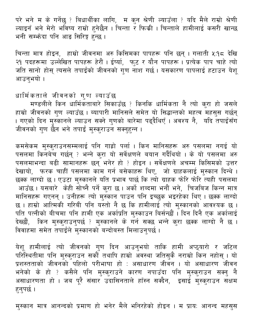परे भने म के गर्नेछु ? बिधार्थीका लागि, म कुन श्रेणी ल्याउँला ? यदि मैले राम्रो श्रेणी ल्याइनँ भने मेरो भविष्य राम्रो हुनेछैन । चिन्ता र फिकी । चिन्ताले हामीलाई कसरी खान्छ भनी सम्भँदा पनि आङ सिरिङ्ग हुन्छ ।

चिन्ता मात्र होइन, हाम्रो जीवनमा अरु किसिमका पापहरू पनि छन् । गलाती ५:१८ देखि<br>२१ पदहरूमा उल्लेखित पापहरू हेरौं । ईर्ष्या, फुट र यौन पापहरू । प्रत्येक पाप चाहे त्यो<br>जति सानो होस् त्यसले तपाईंको जीवनको गुण नाश गर्छ। यसकार आउन्भयो ।

धार्मिकताले जीवनको गुण ल्याउँछ

मण्डलीले किन धार्मिकताबारे सिकाउँछ ? किनकि धार्मिकता नै त्यो कुरा हो जसले हाम्रो जीवनको गुण ल्याउँछ । ब्यापारी मानिसले समेत यो सिद्धान्तको महत्व महसुस गर्छन् । गएको दिन मुस्कानले ल्याउन सक्ने गुणको बारेमा पढ्दैथिएँ । अवश्य नै, यदि तपाईसँग जीवनको गुण छैन भने तपाई मुस्कुराउन सक्नुहन्न ।

कमसेकम मुस्कुराउनसम्मलाई पनि गाह्रो पर्ला । किन मानिसहरू अरु पसलमा नगई यो पसलमा किनबेच गर्छन् ? भन्ने कुरा यो सर्वेक्षणले बयान गर्दैथियो । के यो पसलमा अरु पसलमाभन्दा बढी सामानहरू छन् भनेर हो ? होइन । सर्वेक्षणले अचम्म किसिमको उत्तर रसम्मा संग्रह हैं।<br>देखायो, फरक चाहीं पसलमा काम गर्न बसेकाहरू थिए, जो ग्राहकलाई मुस्कान दिन्थे । छक्क लाग्दो छ । एउटा मुस्कानले यति प्रभाव पार्छ कि त्यो ग्राहक फोरे फोरे त्यही पसलमा आउँछ । यसबारे केही सोच्नै पर्ने कुरा छ । अर्को शब्दमा भनौं भने, चिजबिज किन्न मात्र मानिसहरू गएनन् । उनीहरू त्यो मुस्कान पाउन पनि इच्छुक भइरहेका थिए । छक्क लाग्दो छ । हाम्रो आत्मिकी गरिबी पनि यस्तो नै छ कि हामीलाई त्यो मुस्कानको आवश्यक छ ।<br>पति पत्नीको बीचमा पनि हामी एक अर्काप्रति मुस्काउन बिर्सन्छौं । दिन दिनै एक अर्कालाई .<br>देख्छौं, किन मुस्कुराउनुपर्छ ? मुस्कानले के गर्न सक्छ भन्ने करा छक्क लाग्दो नै छ । विवाहमा समेत तपाईले मुस्कानको बन्दोबस्त मिलाउनपर्छ ।

येशू हामीलाई त्यो जीवनको गुण दिन आउनुभयो ताकि हामी अप्ठ्यारो र जटिल परिस्थितीमा पनि मुस्कुराउन सकौँ तथापि हाम्रो अँवस्था जतिसुकै नराम्रो किन नहोस् । यो<br>प्रशस्तताको जीवनको पहिलो परीभाषा हो : असाधारण जीवन । यो असाधारण जीवन भनेको के हो ? कसैले पनि मुस्कुराउने कारण नपाउँदा पनि मुस्कुराउन सक्नु नै असाधारणता हो । जब पूरै संसार उदासिनताले हाँस्न सक्दैन, इसाई मुस्कुराउन सक्षम हनुपर्छ।

मुस्कान मात्र आनन्दको प्रमाण हो भनेर मैले भनिरहेको होइन । म प्रायः आनन्द महसुस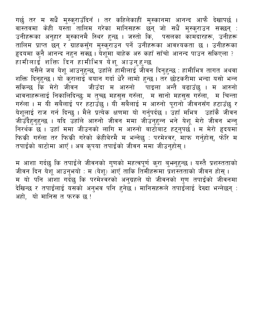गर्छु तर म सधैं मुस्कुराउँदिनँ । तर कहिलेकाहीं मुस्कानमा आनन्द आफै देखापर्छ । वास्तवमा केही यस्ता तालिम गरेका मानिसहरू छन् जो सधैं मुस्कुराउन सक्छन् : उनीहरूका अनुहार मुस्कानमै स्थिर हुन्छ । जस्तो कि, पसलका कामदारहरू, उनीहरू तालिम प्राप्त छन् र ग्राहकसुँग मुस्कुराउन पर्ने उनीहरूका आवश्यकता छ । उनीहरूका<br>हृदयमा कुनै आनन्द नहुन सक्छ । येशूमा बाहेक अरु कहाँ साँचो आनन्द पाउन सकिएला ? हामीलाई शक्ति दिन हामीभित्र येशू आउनुहुन्छ

यसैले जब येशू आउनुहुन्छ, उहाँले हामीलाई जीवन दिनुहुन्छ : हामीभित्र तागत अथवा शक्ति दिनुहुन्छ । यो कुरालाई बयान गर्दा धेरै लामो हुन्छ । तर छोटकरीमा भन्दा यसो भन्न सकिन्छ कि मेरो जीवन जीउँदा म आरुनो पाइला अन्तै बढाउँछु । म आरुनो भावनाहरूलाई निकालिदिन्छुः म तुच्छ महसुस गरुँला, म सानो महसुस गरुँला, म चिन्ता गरुँला । म यी सबैलाई पर हटाउँछु । यी सबैलाई म आरुनो पूरानो जीवनसँग हटाउँछु र येशूलाई राज गर्न दिन्छु । मैले प्रत्येक क्षणमा यो गर्नुपर्दछ । उँहाँ मभित्र उहाँकै जीवन जीउँदैहुनुहुन्छ । यदि उँहाँले आरुनो जीवन ममा जीउनुहुन्न भने येशू मेरो जीवन भन्नु निरर्थक छ । उहाँ ममा जीउनको लागि म आरुनो बाटोबाट हट्नुपर्छ । म मेरो हृदयमाँ फिकी गरुँला तर फिकी गरेको केहीबेरमै म भन्नेछु : परमेश्वर, माफ गर्नुहोस्, फोरि म तपाईंको बाटोमा आएँ । अब कृपया तपाईंको जीवन ममा जीउन्होस् ।

म आशा गर्दछु कि तपाईंले जीवनको गुणको महत्वपूर्ण कुरा बुभ्नुहुन्छ । यस्तै प्रशस्तताको<br>जीवन दिन येशू आउनुभयो : म (येशू) आएँ ताकि तिमीहरूमा प्रशस्तताको जीवन होस् । म यो पनि आंशा गर्दछु कि परमेश्वरको अनुग्रहले यो जीवनको गुण तपाईंको जीवनमा देखिन्छ र तपाईलाई यसको अनुभव पनि हुनेछ । मानिसहरूले तपाईँलाई देख्दा भन्नेछन् : अहो, यो मानिस त फरक छ !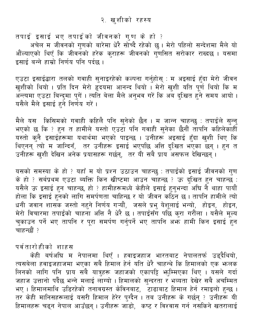<span id="page-11-0"></span>तपाई इसाई भए तपाईको जीवनको गुण के हो ?

अचेल म जीवनको गुणको बारेमा धेरै सोच्दै रहेको छु। मेरो पहिलो सन्देशमा मैले यो औंल्याएको थिएँ कि जीवनँको हरेक कुराहरू जीवनको गुणसित सरोकार राख्दछ । यसमा इसाई बन्ने हाम्रो निर्णय पनि पर्दछ ।

एउटा इसाईद्धारा तलको गवाही सुनाइरहेको कल्पना गर्नुहोस् : म अइसाई हुँदा मेरो जीवन खुशीको थियो । प्रति दिन मेरो हृदयमा आनन्द थियो । मेरो खुशी यति पूर्ण थियो कि म अन्त्यमा एउटा बिन्दुमा पुगें । त्यति बेला मैले अनुभव गरें कि अब दुःखित हुने समय आयो । यसैले मैले इसाई हुने निर्णय गरें।

मैले यस किसिमको गवाही कहिलै पनि सुनेको छैन । म जान्न चाहन्छु : तपाईले सुन्नु भएको छ कि ? हुन त हामीले यस्तो एउटा पनि गवाही सुनेका छैनौं तापनि कहिलेकाँहीँ यस्तो कुनै इसाईहरूमा यथार्थमा भएको पाइन्छ । उनीहरू अइसाई हुँदा खुशी थिए कि थिएनन् त्यो म जान्दिनँ, तर उनीहरू इसाई भएपछि अत्ति दुःखित भएका छन् । हुन त .<br>उनीहरू खुशी देखिन अनेक प्रयासहरू गर्छन्, तर यी सबै प्राय असफल देखिन्छन्।

यसको समस्या के हो ? यहाँ म यो प्रश्न उठाउन चाहन्छु : तपाईंको इसाई जीवनको गुण के हो ? सर्बप्रथम एउटा ब्यक्ति किन खीष्टमा आउन चाँहन्छ ? ऊ दुःखित हुन चाहन्छ : यसैले ऊ इसाई हुन चाहन्छ, हो ? हामीहरूमध्ये केहीले इसाई हुनुभन्दा अघि नै थाहा पायौं होला कि इसाई हुनको लागि समर्पणता चाहिन्छ र यो जीवन कठिन छ। तापनि हामीले त्यो धनी जवान शासक जस्तो नहुने निर्णय गऱ्यौं, जसले प्रभु येशूलाई भन्यो, होइन, होइन, मेरो विचारमा तपाईको चाहना अत्ति नै धेरै छ । तपाईसँग पछि कुरा गरौंला । यसैले मूल्य चकाउन पर्ने भए तापनि र पूरा समर्पण गर्नुपर्ने भए तापनि अफ्न हामी किन इसाई हुन चाहन्छौं ?

#### पर्वतारोहीको शाहस

केही बर्षअघि म नेपालमा थिएँ । हवाइजहाज भारतबाट नेपालतर्फ उड्दैथियो, त्यसबेला हवाइजहाजमा भएका सबै हिमाल हेर्न यति धेरै चाहन्थे कि हिमालको एक भनलक लिनको लागि पनि प्राय सबै यात्रुहरू जहाजको एकापट्टि भ्तुम्मिएका थिए । यसले गर्दा जहाज उत्तानो पर्दैछ भन्ने मलाई लाग्यो । हिमालको सुन्दरता र भव्यता देखेर सबै अचम्मित भए । हिमालमाथि उडिरहेको तनावग्रस्त केविनबाट, टाढाबाट हिमाल हेर्न रमाइलो हुन्छ । तर केही मानिसहरूलाई यसरी हिमाल हेरेर पुग्दैन । तब उनीहरू के गर्छन् ? उनीहरू यी हिमालहरू चढ्न नेपाल आउँछन् । उनीहरू जाँडो, कष्ट र विश्वास गर्न नसकिने खतरालाई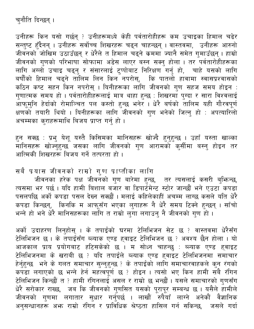# चुनौति दिन्छन् ।

उनीहरू किन यसो गर्छन् ? उनीहरूमध्ये केही पर्वतारोहीहरू कम उचाइका हिमाल चढेर सन्तुष्ट हुँदैनन् । उनीहरू सर्वोच्च शिखरहरू चढ्न चाहन्छन् । वास्तवमा, उनीहरू आरुनो जीवनको जोखिम उठाउँछन् र धेरैले त हिमाल चढ्ने कममा ज्यानै समेत गुमाउँछन् । हाम्रो जीवनको गुणको परिभाषा सोफामा अडेस लाएर बस्न सक्नु होला । तर पर्वतारोहीहरूका लागि अग्लो उचाइ चढ्नु र संसारलाई टुप्पोबाट निरिक्षण गर्नु हो, चाहे यसको लागि<br>बर्षौंको हिमाल चढ्ने तालिम लिन किन नपरोस्, कि पातलो हावामा स्वासप्रश्वासको कठिन कष्ट सहन किन नपरोस् । यिनीहरूका लांगि जीवनको गुण सहज समय होइन : गुणात्मक समय हो । पर्वतारोहीहरूलाई मात्र थाहा हुन्छ : शिखरमाँ पुग्दा र सारा विश्वलाई आफूमुनि हेर्दाको रोमाञ्चित पल कस्तो हुन्छ भनेर । धेरै बर्षको तालिम यही गौरवपूर्ण क्षणको तयारी थियो । यिनीहरूका लागि जीवनको गुण भनेको जित्नु हो : अपत्यारिलो अचम्मका कुराहरूमाथि बिजय प्राप्त गर्नु हो।

हुन सक्छ : प्रभु येशू यस्तै किसिमका मानिसहरू खोज्दै हुनुहुन्छ । उहाँ यस्ता खाल्का आत्मिकी शिखरहरू बिजय गर्ने तत्परता हो ।

#### सबै प्रयास जीवनको राम्रो गुण प्राप्तीका लागि

जीवनका हरेक पक्ष जीवनको गुण बारेमा हुन्छ, तर त्यसलाई कसरी बुभिन्छ,<br>त्यसमा भर पर्छ । यदि हामी बिशाल बजार वा डिपार्टमेन्ट स्टोर जान्छौं भने एउटा कपडा पसलपछि अर्को कपड़ा पसल देख्न सक्छौं । मलाई कहिलेकाहीं अचम्म लाग्छ कसले यति धेरै कपडा किन्छन्, किनकि म आफूसँग भएका लुगाहरू नै धेरै समय टिक्ने हुन्छन् । साँचो भन्ने हो भने धेरै मानिसहरूका लागि त राम्रो लुगा लगाउन् नै जीवनको गुण हो ।

अर्को उदाहरण लिनुहोस् । के तपाईंको घरमा टेलिभिजन सेट छ ? वास्तवमा धेरैसँग टेलिभिजन छ । के तपाईसँग ब्ल्याक एण्ड हवाइट टेलिभिजन छ ? अवश्य छैन होला । यो आजकाल प्राय प्रयोगबाट हटिसकेको छ । म सोध्न चाहन्छु : ब्ल्याक एण्ड ह्वाइट गौरागरी कार्य क्रमानगढ लेडरीसको छै । से रोडरी गोर्ल्खु र रामके २ उ ल्याइट<br>हेर्नुहुन्छ भने के गलत समाचार सुन्नुहुन्छ ? के तपाईंको लागि समाचारवाहकले कुन रंगको<br>कपडा लगाएको छ भन्ने हेर्न महत्वपूर्ण छ ? होइन । त्यसो भए किन हाम उन्नामाना है।<br>धेरै सरोकार राख्छ, जब कि जीवनको गुणसित यसको पूरापूर सम्बन्ध छ । यसैले हामीले जीवनको गुणमा लगातार सुधार गर्नुपर्छ । लाखौँ रुपैथाँ लाग्ने अनेकौँ वैज्ञानिक अनुसन्धानहरू अभ्र राम्रो रंगिन र प्राविधिक श्रेष्ठता हासिल गर्न सकिन्छ, जसले गर्दा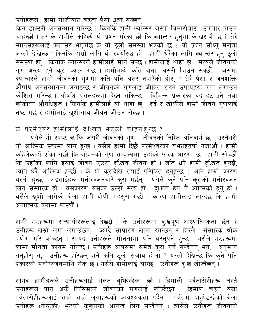उनीहरूले हाम्रो गोजीबाट बढ्ता पैसा धुत्न सक्छन् ।

किन डाक्टरी अनुसन्धान गरिन्छ ? किनकि हामी क्यान्सर जस्तो बिमारीबाट उपचार पाउन चाहन्छौं । तर के हामीले कहिल्यै यो प्रश्न गरेका छौं कि क्यान्सर हुनुमा के खराबी छ ? धेरै मानिसहरूलाई क्यान्सर भएपछि के यो ठूलो समस्या भएको छ ? यो प्रश्न सोध्नु मूर्खता सार सहरूसर स्वर्ग सर्वमाली गुला आ पूर्ती समर्थन मर्द्या छै । यो प्रवर्ग सान्द्र हुनु ठूलो<br>समस्या हो, किनकि क्यान्सरले हामीलाई मार्न सक्छ । हामीलाई थाहा छ, मृत्युले जीवनको<br>गुण अन्त्य हुने कुरा ब्यक्त गर्छ । हामीमध्य औषधि अनुसन्धानमा लगाइन्छ र जीवनको गुणलाई जीवित राख्ने उपायहरू पत्ता लगाउन कोशिस गरिन्छ । औषधि पसलहरूमा देख्न सकिन्छ, विभिन्न प्रकारका दर्द हटाउने तथा खोकीका औषधिहरू । किनकि हामीलाई यो थाहा छ, दर्द र खोकीले हाम्रो जीवन गुणलाई नष्ट गर्छ र हामीलाई खुशीसाथ जीवन जीउन रोक्छ।

के परमेश्वर हामीलाई दुःखित भएको चाहनुहुन्छ ?

यसैले यो स्पष्ट छ कि जसरी जीवनको गुण, जीवनको निम्ति अनिवार्य छ, उस्तैगरी यो आत्मिक स्तरमा लागू हुन्छ । यसैले हामी छिट्टै परमेश्वरको बुभ्हाइतर्फ नजाओै । हामी या आत्मक स्तरमा लागू हुन्छ । यसल हामा ाछ<sub>टै</sub> परमरपरका पुकाइतक नजाजा । हामा<br>कहिलेकाहीं शंका गर्छौं कि जीवनको गुण सम्बन्धमा उहाँको फरक धारणा छ । हामी सोच्छौं<br>कि उहाँको लागि इसाई जीवन एउटा दुःखित जीवन हो । जति धेरै हामी दुःख यसैले खुशी लागेको बेला हामी दोषी महसूस गर्छौं । कारण हाँमीलाई लाग्दछ कि हामी अनात्मिक कुरामा फर्स्यौं ।

हामी मठहरूमा सन्यासीहरूलाई देख्छौं । के उनीहरूमा दुःखपूर्ण आध्यात्मिकता छैन ? उनीहरू खस्रो लुगा लगाउँछन्, ज्यादै साधारण खाना खान्छन् र बिरलै संसारिक थोक<br>प्रयोग गरि बाँच्छन् । सायद उनीहरूले मौनतामा पनि बस्नुपर्ने हुन्छ, यसैले मठहरूमा लामो मौनता कायम गरिन्छ । उनीहरू आपसमा समेत कुरा गर्न सक्दैनन् भने, अनुमान गर्नुहोस् त, उनीहरू हाँस्छन् भने कति ठूलो सजाय होला ? यस्तो देखिन्छ कि कुनै पनि<br>प्रकारको मनोरञ्जनमाथि रोक छ । यसैले हामीलाई लाग्छ, उनीहरू दु:ख खोज्दैछन् ।

सायद हामीहरूले उनीहरूलाई गलत बुभिन्रहेका छौं । हिमाली पर्वतारोहीहरू जस्तै<br>उनीहरूले पनि अर्कै किसिमको जीवनको गुणलाई खोज्दैछन् । हिमाल चढ्ने बेला<br>पर्वतारोहीहरूलाई राम्रो राम्रो लुगाहरूको आवश्यकता पर्दैन । पर्वतमा भ्नुण्डिरह उनीहरू (केन्टुकी) भुटेको कुखुराको आनन्द लिन सक्दैनन् । त्यसैले उनीहरू जीवनको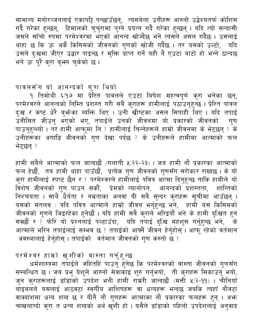सामान्य मनोरञ्जनलाई एकापट्टि पन्छाउँछन्, त्यसबेला उनीहरू आरुनो उद्धेश्यतर्फ कोशिस गर्दै गरेका हुन्छन्, हिमालको चुचुरामा पुग्ने प्रयत्न गर्दै गरेका हुन्छन् । यदि त्यो सन्यासी जसले साँचो रुपमा परमेश्वरमा भएको आनन्द खोज्दैछ भने त्यसले असल गर्दैछ । उसलाई थाहा छ कि ऊ अर्कै किसिमको जीवनको गुणको खोजी गर्दैछ । तर यसको उल्टो, यदि उसले दुःखमा जीएर उद्धार पाइन्छ र मुक्ति प्राप्त गर्ने यही नै एउटा बाटो हो भन्ने ठान्दछ भने ऊँ पूरै करा बुभन चुकेको छ।

#### पावलसँग यो आनन्दको गुण थियो

१ तिमोथी ६:१७ मा प्रेरित पावलले एउटा बिषेश महत्वपूर्ण कुरा भनेका छन्, परमेश्वरले आनन्दको निम्ति प्रशस्त गरी सबै कुराहरू हामीलाई पठाउनुहुन्छ । प्रेरित पावले दुःख र कष्ट धेरै बुभ्रेका ब्यक्ति थिए । उनी खीष्टका असल सिपाही थिए । यदि तपाईं उनीसित जीउनु भएको भए, तपाईंले उनको जीवनमा यो प्रकारको जीवनको गण पाउनुहुन्थ्यो । तर हामी आफूमा नि ? हामीलाई चिन्नेहरूले हाम्रो जीवनमा के भेट्छन् ? के उनीहरूका अगाडि जीवनको गुण देखा पर्दछ ? के उनीहरूले हामीमा आत्माको फल भेट्छन् ?

हामी सबैले आत्माको फल जान्दछौं (गलाती ५:२२-२३) । जब हामी नौ प्रकारका आत्माको फल हेर्छौं, तब हामी थाहा पाउँछौं, प्रत्येक गुण जीवनको गुणसँग सरोकार राख्दछ । के यो<br>कुरा हामीलाई स्पष्ट छैन र ? परमेश्वरले हामीलाई पवित्र आत्मा दिनुहुन्छ ताकि हामीले यो .<br>विशेष जीवनको गुण पाउन सकौं, प्रेमको न्यानोपन, आनन्दको प्रशस्तता, शान्तिको .<br>निश्चयता । साथै धैर्यता र नम्रताका अलवा यी सबै सुन्दर कुराहरू सूचीमा आउँछन् । ्<br>यसको मतलव : यदि पवित्र आत्माले हाम्रो जीवन भर्नुहुन्छ भने, हामी यस किसिमको जीवनको गुणले जिइरहेका हुनेछौं । यदि हामी सबै कुराले भरिइयौं भने के हामी दुःखित हुन सक्छौं र ? फोरि यो प्रश्नलाई पल्टाउँदा, यदि तपाई दुःखि महशुस गर्नुहुन्छ भने, के<br>आत्माले भरिन तपाईलाई सम्भव छ ? तपाईको आफ्नै जीवन हेर्नुहोस् । आफ् रहेको वर्तमान अवस्थालाई हेर्नुहोस् । तपाईको वर्तमान जीवनको गुण कस्तो छ ?

# परमेश्वर हाम्रो खुशीको वास्ता गर्नुहुन्छ

धर्मशास्त्रमा तपाईले जहिंतहिं पाउनु हुनेछ कि परमेश्वरको वास्ता जीवनको गुणसँग<br>सम्बन्धित छ । जब प्रभु येशूले आरुनो सेवाकाइ शुरु गर्नुभयो, ती कुराहरू सिकाउनु भयो,<br>जुन कुराहरूलाई डाँडाको उपदेश भनी हामी राम्ररी जान्दछौं (मत्त ्<br>बाइबलले यसलाई आठवटा स्वर्गीय आशिषहरू वा धन्यहरू भन्दछ जबकि त्यहाँ नौवटा वाक्यांशमा धन्य शब्द छ र यीनै नौ गुणहरू आत्माका नौ प्रकारका फलहरू हुन् । अभ्र चाखलाग्दो करा त धन्य शब्दको अर्थ खुँशी हो । यसैले डाँडाको पहिलो उपदेशलाई अनुवाद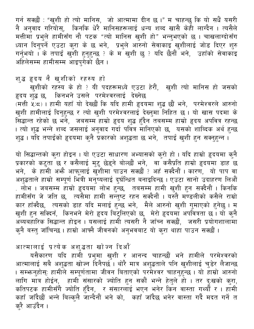गर्न सक्छौं : "खुशी हो त्यो मानिस, जो आत्मामा दीन छ।" म चाहन्छु कि यो सधैं यसरी नै अनुवाद गरियोस्, किनकि धेरै मानिसहरूलाई धन्य शब्द खासै केही लाग्दैन । त्यसैले मत्तीमा प्रभुले हामीसँग नौ पटक "त्यो मानिस खुशी हो" भन्नुभएको छ । चाखलाग्दोसँग .<br>ध्यान दिनुपर्ने एउटा कुरा के छ भने, प्रभुले आरुनो सेवाकाइ खुशीलाई जोड दिएर शुरु<br>गर्नुभयो । के तपाई खुशी हुनुहुन्छ ? के म खुशी छु ? यदि छैनौं भने, उहाँको सेवाकाइ अहिलेसम्म हामीसम्म आइपुगेको छैन ।

# शुद्ध हृदय नै खुशीको रहस्य हो

खुशीको रहस्य के हो ? यी पदहरूमध्ये एउटा हेरौं, खुशी त्यो मानिस हो जसको हृदय शुद्ध छ, किनभने उसले परमेश्वरलाई देख्नेछ (मत्ती ५:८) । हामी यहाँ यो देख्छौं कि यदि हामी हृदयमा शुद्ध छौं भने, परमेश्वरले आरुनो खुशी हामीलाई दिनुहुन्छ र त्यो खुशी परमेश्वरलाई देख्नुमा निहित छ । यो खास पदमा के .<br>सिद्धान्त रहेको छ भने, जबसम्म हाम्रो हृदय शुद्ध हुँदैन तबसम्म हाम्रो हृदय अपवित्र रहन्छ<br>। त्यो शुद्ध भन्ने शब्द जसलाई अनुवाद गर्दा पवित्र मानिएको छ, यसको शाब्दिक अर्थ हुन्छ शद्ध । यदि तपाईको हृदयमा कुनै प्रकारको अशुद्धता छ भने, तपाई खुशी हुन सक्नुहुन्न ।

यो सिद्धान्तको कुरा होइन् । यो एउटा साधारण अभ्यासको कुरो हो । यदि हाम्रो हृदयमा कुनै प्रकारको कटुता छ र कसैलाई मुटु छेड्ने बोल्छौं भने, वा कसैप्रति हाम्रो हृदयमा डाह छ<br>भने, के हामी अफ्नै आफूलाई खुशीमा पाउन सक्छौं ? अहँ सक्दैनौं । कारण, यो पाप वा<br>अशुद्धताले हाम्रो सम्पूर्ण भित्री मनुष्यलाई दुर्घन्धित बन . लोभ । जबसम्म होम्रो हृदयमाँ लोभ हुन्छ, तबसम्म हामी खुशी हुन सक्दैनौं । किनकि हामीसँग जे जति छ, त्यसैमा हामी सन्तुष्ट रहन सक्दैनौं । यस्तै मण्डलीको कसैले राम्रो कार हाँक्दैछ, त्यसको डाह यदि मलाई हुन्छ भने, मैले आरुनो खुशी गुमाएको हुनेछु । म खुशी हुन सक्दिनँ, किनभने मेरो हृदय बिटुलिएको छ, मेरो हृदयमाँ अपवित्रता छ । यो कुनै<br>अब्यबहारिक सिद्धान्त होइन । यसलाई हामी त्यसरी नै जाँच्न सक्छौं, जसरी प्रयोगशालामा क्नै बस्त् जाँचिन्छ । हाम्रो आफ्नै जीवनको अनुभवबाट यो करा थाहा पाउन सक्छौं ।

# आत्मालाई प्रत्येक अशुद्धता खोज्न दिओं

जारमाली है करवे के जरीखता खो को पिया।<br>अत्मालाई सबै अशुद्धता खोज्न दिनैपर्छ । थोरै मात्र अशुद्धताले पनि खुशीलाई चुडेर लैजान्छ ।<br>अत्मालाई सबै अशुद्धता खोज्न दिनैपर्छ । थोरै मात्र अशुद्धताले पनि खुशीलाई चुडेर लैजान्छ ।<br>सम्भ् कहाँ जाँदैछौं भन्ने बिल्कुलै जान्दैनौं भने को, कहाँ जाँदैछ भनेर वास्ता गर्दै मदत गर्ने त क्रै आउँदैन ।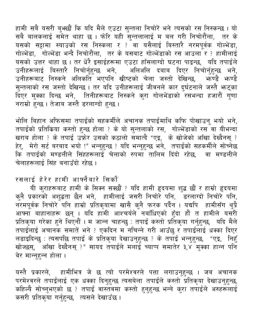हामी सबै यसरी बुभ्छौं कि यदि मैले एउटा सुन्तला निचोरें भने त्यसको रस निस्कन्छ । यो ्<br>सबै बालकलाई समेत थाहा छ । फोर यही सुन्तलालाई म बल गरी निचोरौंला, तर के यसको सट्टामा स्याउको रस निस्कला र ?ँवा यसैलाई बिस्तारै नरमपूर्वक गोल्भेंडा, गोल्भेंडा, गोल्भेंडा भन्दै निचोरौंला, तर के यसबाट गोल्भेंडाको रस आउला र ? हामीलाई<br>यसको उत्तर थाहा छ । तर धेरै इसाईहरूमा एउटा हाँसलाग्दो घटना पाइन्छ, यदि तपाईले उनीहरूलाई बिस्तारै निचोर्नुहुन्छ भने, अलिअलि दबाब दिएर निचोर्नुहुन्छ भने,<br>उनीहरूबाट निस्कने अलिकति भएपनि खीष्टको चेला जस्तो देखिन्छ, भ्रुण्डै भ्रुण्डै सुन्तलाको रस जस्तो देखिन्छ । तर यदि उनीहरूलाई जीवनले कार दुर्घटनाले जस्तै भन्दका दिएर मुक्का दिन्छ भने, तिनीहरूबाट निस्कने करा गोलभेंडाको रसभन्दा हजारौं गुणा नराम्रो हुन्छ । तेजाब जस्तै डरलाग्दो हुन्छ ।

भोलि बिहान अफिसमा तपाईंको सहकर्मीले अचानक तपाईमाथि कफि पोखाउनु भयो भने, तपाईंको प्रतिक्रिया कस्तो हुन्छ होला ? के यो सुन्तलाको रस, गोल्भेंडाको रस वा यीभन्दा<br>खराब होला ? के तपाई उफ्रेर उसको कठालो समात्दै "एइ, के खोजेको आँखा देख्दैनस् ? हेर्, मेरो सर्ट बरबाद भयो !" भन्नुहुन्छ ? यदि भन्नुहुन्छ भने, तपाईंको सहकर्मीले सोच्नेछ कि तपाईको मण्डलीले सिंहहरूलाई चेलाको रुपमा तालिम दिंदो रहेछ, वा मण्डलीले चेलाहरूलाई सिंह बनाउँदो रहेछ ।

#### रसलाई हेरेर हामी आफ्नैबारे सिकौं

यी कुराहरूबाट हामी के सिक्न सक्छौं ? यदि हामी हृदयमा शुद्ध छौं र हाम्रो हृदयमा कुनै प्रकारको अशुद्धता छैन भने, हामीलाई जसरी निचोरे पनि, डरलाग्दो निचोरे पनि, नरमपूर्वक निचोरे पनि हाम्रो प्रतिकृयामा खासै कुनै फरक पर्दैन । यद्यपि हामीसँग थुप्रै<br>आफ्ना बाहानाहरू छन् । यदि हामी आश्चर्यले नबाँधिएको हुँदा हो त हामीले यसरी प्रतिकृया गरेका हुने थिएनौं । म जान्न चाहन्छु : तपाईं कस्तो प्रतिकृया गर्नुहुन्छ, यदि मैले तपाईँलाई अचानक समातें भने ? एकदिन म<sup>ॅ</sup>नचिन्ने गरी आउँछु र<sup>ॅ</sup>तपाईँलाई धक्का दिएर लडाइदिन्छु : त्यसपछि तपाई के प्रतिकृया देखाउनुहुन्छ ? के तपाईं भन्नुहुन्छ, "एइ, निहुँ खोज्छस्, ँआँखा देख्दैनस् ?" सायद तपाईंले मलाई च्याप्प समातेर ३,४ँमुक्का हान्न पनि बेर मान्न्हन्न होला।

यस्तै प्रकारले, हामीभित्र जे छ त्यो परमेश्वरले पत्ता लगाउनुहुन्छ । जब अचानक परमेश्वरले तपाईलाई एक धक्का दिनुहुन्छ त्यसबेला तपाईले कस्तो प्रतिकृया देखाउनुहुन्छ, कहिल्यै सोच्नुभएको छ ? तपाईं वास्तवमा कस्तो हुनुहुन्छ भन्ने कुरा तपाईले अरुहरूलाई कसरी प्रतिकृया गर्नुहुन्छ, त्यसले देखाउँछ ।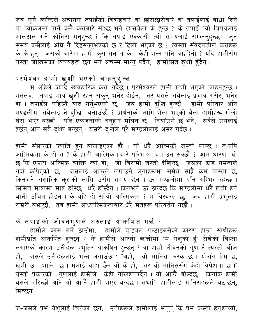जब कनै ब्यक्तिले अचानक तपाईंको विवाहबारे वा छोराछोरीबारे वा तपाईलाई बाधा दिने वा ब्याकुलमा पार्ने कुनै कुराबारे सोध्छ भने त्यसबेला के हुन्छ ? के तपाईं त्यो बिषयलाई आलटाल गर्ने कोशिस गर्नुहुन्छ ? कि तपाई एक्कासी त्यो समयलाई सम्भन्नुहुन्छ, जन समय कसैलाई अघि नै दिइसक्नुभएको छ र ढिलो भएको छ ? त्यस्ता संवेदनशील कुराहरू के के हुन् : जसको बारेमा हामी कुरा गर्न त के, केही भन्न पनि चाहँदैनौं ? यदि हामीसँग यस्ता जोखिमका बिषयहरू छन् भने अचम्म मान्न् पर्दैन, हामीसित खुशी हुँदैन ।

परमेश्वर हामी खुशी भएको चाहनुहुन्छ

म अहिले ज्यादै ब्यवहारिक कुरा गर्दैछु । परमेश्वरले हामी खुशी भएको चाहनुहुन्छ । मतलव, तपाई मात्र खुशी रहन सकून् भनेर होईन, तर यसले सबैलाई प्रभाव गरोस् भनेर हो । तपाईंले कहिल्यै याद गर्नुभएको छ, जब हामी दुःखि हुन्छौं, हामी परिवार अनि मण्डलीमा सबैलाई नै दुःखि बनाउँछौं ? प्रार्थनाको लागि भेला भएको बेला हामीहरू गोलो घेरा भएर बस्छौं, यदि एकजनाको अनुहार मलिन छ, नियाँउरो छ भने, सबैले उसलाई हेर्छन् अनि सबै दुःखि बन्छन् । यसरी दुःखले पूरै मण्डलीलाई असर गर्दछ ।

हामी संसारको ज्योति हुन बोलाइएका हौं । यो धेरै आत्मिकी जस्तो लाग्छ । तथापि आत्मिकता के हो त ? के हामी आत्मिकताबारे परिभाषा बताउन सक्छौं ? आम धारणा यो छ कि एउटा आत्मिक ब्यक्ति त्यो हो, जो बिरामी जस्तो देखिन्छ, जसको ढाड नम्रताले गर्दा कुप्रिएको छ, जसलाई आफूले लगाउने लुगाहरूमा समेत साह्रै कम वास्ता छ, किनभने संसारिक कुराको लागि उसँग समय छैन । ऊ मण्डलीमा पनि गम्भिर रहन्छ । सिमित मात्रामा मात्र हाँस्छ, धेरै हाँस्दैन । किनभने ऊ ठान्दछ कि मण्डलीमा धेरै खुशी हुने बानी उचित होईन । के यहि हो साँचो आत्मिकता ? म विस्वस्त छु, जब हामी प्रभुलाई राम्ररी बुभ्त्छौं, तब हामी आध्यात्मिकताबारे धेरै मतहरू परिवर्तन गर्छौं ।

के तपाईको जीवनगुणले अरुलाई आकर्षित गर्छ ?

हामीले काम गर्ने ठाउँमा, हामीले बाइबल पल्टाइबसेको कारण हाम्रा साथीहरू हामीप्रति आकर्षित हुन्छन् ? के हामीले आरुनो छात्तीमा "म येशूको हूँ" लेखेको बिल्ला लगाएको कारण उनीहरू प्रभुतिर आकर्षित हुन्छन् ? वा हाम्रो जीवनको गुण नै त्यस्तो चीज हो, जसले उनीहरूलाई भन्न लगाउँछ : "अहो, यो मानिस फरक छ ! योसँग प्रेम छ, खुशी छ, शान्ति छ। मलाई थाहा छैन यो के हो, तर यो मानिससँग केही विषेशता छ।" ्<br>यस्तो प्रकारको गुणलाई हामीले केही गरिरहन्**पर्दैन । यो आफै बोल्दछ, किनकि हामी** यसले भरिन्छौं अनि यो आफै हामी भएर बग्दछ । तथापि हामीलाई मानिसहरूले बटार्छन्, मिच्छन ।

ज-जसले प्रभु येशूलाई चिनेका छन्, उनीहरूले हामीलाई भनून् कि प्रभु कस्तो हुनुहुन्थ्यो,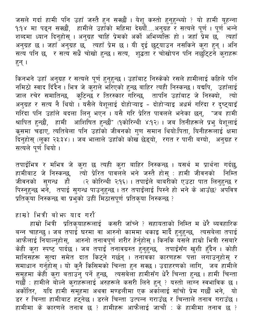जसले गर्दा हामी पनि उहाँ जस्तै हुन सक्छौं । येशू कस्तो हुनुहुन्थ्यो ? यो हामी यूहन्ना १:१४ मा पढ्न सक्छौं, हामीले उहाँको महिमा देख्यौं....अनुग्रह र सत्यले पूर्ण । पूर्ण भन्ने शब्दमा ध्यान दिनुहोस् । अनुग्रह चाहिं प्रेमको अर्को अभिब्यक्ति हो । जहाँ प्रेम छ, त्यहाँ अनुग्रह छ । जहाँ अनुग्रह छ,ँ त्यहाँ प्रेम छ । यी दुई छुट्याउन नसकिने कुरा हुन् । अनि सत्य पनि छ, र सत्य सधैं चोखो हुन्छ । सत्य, शुद्धता र चोखोपन पनि नर्छाट्टने कुराहरू हन् ।

किनभने उहाँ अनुग्रह र सत्यले पूर्ण हुनुहुन्छ । उहाँबाट निस्केको रसले हामीलाई कहिले पनि नमिठो स्वाद दिँदैन । भित्र जे कुरोले भरिएको हुन्छ बाहिर त्यही निस्कन्छ । यद्यपि, उहाँलाई जाल रचेर समातिन्छ, कुटिन्छ र तिरस्कार गरिन्छ, तापनि उहाँबाट जे निस्क्यो, त्यो अनुग्रह र सत्य नै थियो । यसैले येशूलाई दोहोऱ्याइ - दोहोऱ्याइ अधर्म गरिंदा र दुष्ट्याइँ गरिंदा पनि उहाँले बदला लिनु भएन<sup>े</sup>। यसै गरि प्रेरित पावलले भनेका छन्, "जब हामी श्रापित हुन्छौं, हामी आशिषित हुन्छौं" (१कोरिन्थी ४:१२) । जब तिनीहरूले प्रभु येशूलाई कुसमा चढाएं, त्यतिबेला पनि उहाँको जीवनको गुण समान थियोःपिता, यिनीहरूलाई क्षेमा दिनुहोस् (लूका २३:३४)। जब भालाले उहाँको कोख छेड्यो, रगत र पानी बग्यो, अनुग्रह र सत्यले पूर्ण थियो ।

तपाईंभित्र र मभित्र जे कुरा छ त्यही कुरा बाहिर निस्कन्छ । यसर्थ म प्रार्थना गर्दछु, हामीबाट जे निस्कन्छ, त्यो प्रेरित पावलले भने जस्तै होस् : हामी जीवनको निम्ति जीवनको सुगन्ध हौँ (२ कोरिन्थी २:१६) । तपाईंले बाबरीको एउटा पात लिनुहुन्छ र<br>पिस्नुहुन्छ भने, तपाई सुगन्ध पाउनुहुन्छ । तर तपाईलाई पिस्ने हो भने के आउँछ? अपवित्र प्रतिक्रया निस्कन्छ वा प्रभुको उहीं मिठासपूर्ण प्रतिकया निस्कन्छ ?

हाम्रो भित्री बोभन याद गरौं

हाम्रो भित्री प्रतिकृयाहरूलाई कसरी जाँच्ने ? सहायताको निम्ति म धेरै ब्यवहारिक बन्न चाहन्छु । जब तपाई घरमा वा आरुनो काममा थकाइ मार्दै हुनुहुन्छ, त्यसबेला तपाई आफैलाई नियाल्नुहोस्, आरुनो तनावपूर्ण शरीर हेर्नुहोस् । किनकि यसले हाम्रो भित्री रसबारे केही कुरा स्पष्ट<sup>ँ</sup>पार्दछ । जब तपाई तनावग्रस्त हुनुहुन्छ, तपाईसँग खुशी हुँदैन । कोही मानिसहरू सुत्दा समेत दात किट्ने गर्छन् । तनावका कारणहरू पत्ता लगाउनुहोस् र समाधान गर्नुहोस् । यो कुनै किसिमको चिन्ता हुन सक्छ । उदाहरणको लागि, जब हामीले समूहमा केही कुरा बताउनु पर्ने हुन्छ, त्यसबेला हामीसँग धेरै चिन्ता हुन्छ । हामी चिन्ता सर्छै : हामीले बोल्ने कुराहरूलाई अरुहरूले कसरी लिने हुन् ? यस्तो लॉग्न स्वभाविक छ । अर्कोतिर, यदि हामी समूहमा अथवा मण्डलीमा एक अर्कालाई साँचो प्रेम गर्छौ भने, यो डर र चिन्ता हामीबाट हट्नेछ । डरले चिन्ता उत्पन्न गराउँछ र चिन्ताले तनाव गराउँछ । हामीमा के कारणले तनाव छ ? हामीहरू आफैलाई जाचौं : के हामीमा तनाव छ ?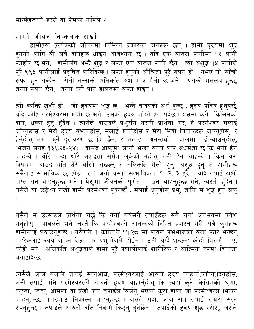हाम्रो जीवन निष्कलंक राखौं

हामीहरू प्रत्येकको जीवनमा विभिन्न प्रकारका दागहरू छन् । हामी हृदयमा शुद्ध हनको लागि यी सबै दागहरू धोइन आवश्यक छ । यदि एक बोतल पानीमा १**४** पानी फोहोर छ भने, हामीसँग अभ्तै शुद्ध र सफा एक बोतल पानी छैन। त्यो अशुद्ध १% पानीले पूरै ९९% पानीलाई प्रदुषित पारिदिन्छ । सफा हुनुको औचित्य पूरै सफा हो, नभए यो साँचो ू<br>सफा हुन सक्दैन । सेतो तन्नाको अलिकति अंश मात्र मैलो छ भने, यसको मतलब हुन्छ, तन्ना सफा छैन, तन्ना कुनै पनि हालतमा सफा होइन ।

त्यो ब्यक्ति खुशी हो, जो हृदयमा शुद्ध छ, भन्ने वाक्यको अर्थ हुन्छ : हृदय पवित्र हुनुपर्छ,<br>यदि कोहि परमेश्वरमा खुशी छ भने, उसको हृदय चोखो हुनु पर्दछ । यसमा कुनै किसिमको दाग, धब्बा हुनु हुँदैन । त्यसैले दाउदले प्रभुसँग यसरी प्रार्थना गरे, हे परमेश्वर मलाई जाँच्नुहोस् र मेरो हृदय बुभ्रनुहोस्, मलाई खार्नुहोस् र मेरा भित्री बिचारहरू जान्नुहोस्, र हेर्नुहोस् मेमा कुनै दुराचरण छ कि छैन, र मलाई अनन्तको चालमा डोऱ्याउनुहोस्, (भजन संग्रह १३९:२३-२४) । दाउद आफूमा सानो भन्दा सानो पाप अधर्मता छ कि भनी हेर्न चाहन्थे । थोरै भन्दा थोरै अशुद्धता समेत लुकेको नहोस् भनी हेर्न चाहन्थे । किन यस विषयमा दाउद यति धेरै चाँसो राख्छन् ? अलिकति मैलो हुनु, अशुद्ध हुनु त हामीहरू सबैलाई स्वभाविक छ, होईन र ? अनी यस्तो स्वभाविकता १, २, ३ हुँदैन, यदि तपाई खुशी प्राप्त गर्न चाहनुहुन्छ भने । येशूमा जीवनको पूर्णता पाउन चाहनुहुन्छ भने, त्यस्तो हुँदैन । यसैले यो उद्वेश्य राखी हामी परमेश्वर पुकाछौँ : मलाई धुनुहोस् प्रभु, ताकि म शुद्ध हुन सक्

यसैले म उत्साहले प्रार्थना गर्छु कि नयाँ बर्षसँगै तपाईंहरू सबै नयाँ अनुभवमा प्रवेश<br>गर्नुहोस् : पावलले भने जस्तै कि परमेश्वरले आनन्दको निम्ति प्रशस्त गरी सबै कुराहरू हामीलाई पठाउनुहुन्छ । यसैगरी १ कोरिन्थी ११:२८ मा पावल प्रभुभोजको बेला फोरे भन्छन् : हरेकलाई स्वयं जाँच्न देऊ, तर प्रभुभोजमै होईन । उनी थप्दै भन्छन्: कोही बिरामी भए, <u>कोही मरे । अलिकति अशद्धताले हाम्रो परै प्रणालीलाई शारीरिक र आत्मिक रुपमा विषाक्त</u> बनाइदिन्छ ।

त्यसैले आज बेलुकी तपाई सुत्नअघि, परमेश्वरलाई आरुनो हृदय चाहार्न(जाँच्न)दिनुहोस्, अनी तपाई पनि परमेश्वरसँगै आरुनो हृदय चाहार्नुहोस् कि त्यहाँ कुनै किसिमको घृणा, कटुता, तितो, अमिलो वा केही जुन तपाईंले बिर्सनु भएको कुरा होला जो परमेश्वरले भिन्न्स<br>चाहनुहुन्छ, तपाईबाट निकाल्न चाहनुहुन्छ । जसले गर्दा, आज रात तपाई राम्ररी सुत्न सक्नुहुन्छ । तपाईले आरुनो दाँत निद्रामै किट्नु हुनेछैन । तपाईको हृदय शुद्ध रहोस्, जसले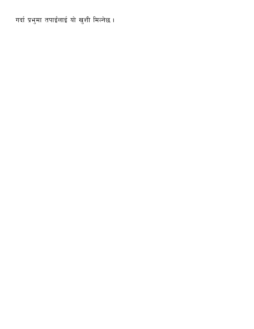गर्दा प्रभुमा तपाईलाई यो खुशी मिल्नेछ ।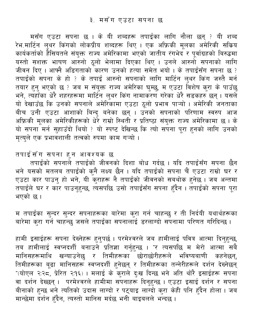<span id="page-21-0"></span>मसँग एउटा सपना छ । के यी शब्दहरू तपाईंका लागि नौला छन् ? यी शब्द रेभ.मार्टिन लुथर किंगको लोकप्रीय शब्दहरू थिए । एक अफ्रिकी मूलका अमेरिकी सकिय कार्यकर्ताको हैैसियतले संयुक्त राज्य अमेरिकामा भएको जातीय रंगभेद र पूर्वाग्रहको बिरुद्धमा यस्तो सशक्त भाषण आरुनो ठूलो भेलामा दिएका थिए । उनले आरुनो सपनाको लागि जीवन दिए । आफ्नै अडिगताको कारण उनको हत्या समेत भयो । के तपाईंसँग सपना छ ? तपाईंको सपना के हो ? के तपाई आरुनो सपनाको लागि मार्टिन लुथर किंग जस्तै मर्न तयार हुनु भएको छ ? जब म संयुक्त राज्य अमेरिका घुम्छु, म एउटा विशेष कुरा के पाउँछु भने, त्यँहाँका धेरै शहरहरूमा मार्टिन लुथर किंग नामाकरण गरेका धेरै सडकहरु छन् । यसले यो देखाउँछ कि उनको सपनाले अमेरिकामा एउटा ठूलो प्रभाव पाऱ्यो । अमेरिकी जनताका बीच उनी एउटा आशाको बिन्दु बनेका छन् । उनको सपनाको परिणाम स्वरुप आज अफ्रिकी मूलका अमेरिकीहरूको धेरे राम्रो स्थिती र प्रतिष्ठा संयुक्त राज्य अमेरिकामा छ । के यो सपना मर्न सुहाउँदो थियो ? यो स्पष्ट देखिन्छ कि त्यो सपना पूरा हुनको लागि उनको मृत्युले एक प्रभावंशाली तत्वको रुपमा काम गऱ्यो ।

तपाईंसँग सपना हुन आवश्यक छ

.<br>तपाईंको सपनाले तपाईंको जीवनको दिशा बोध गर्दछ । यदि तपाईंसँग सपना छैन भने यसको मतलब तपाईंको कुनै लक्ष्य छैन । यदि तपाईंको सपना चैं एउटा राम्रो घर र<br>एउटा कार पाउनु हो भने, यी कुराहरू नै तपाईंको जीवनको सबथोक हुनेछ । जब अन्तमा ्<br>तपाईले घर र कार पाउनुहुन्छ, त्यसपछि उसो तपाईसँग सपना हुँदैन । तपाईको सपना पूरा भएको छ।

म तपाईंका सुन्दर सुन्दर सपनाहरूका बारेमा कुरा गर्न चाहन्छु र ती निर्दयी यथार्थहरूका बारेमा करा गर्न चाहन्छ जसले तपाईका सपनालाई डरलाग्दो सपनामा परिणत गरिदिन्छ ।

हामी इसाईहरू सपना देख्नेहरू हुनुपर्छ । परमेश्वरले जब हामीलाई पवित्र आत्मा दिनुहुन्छ, तब हामीलाई स्वप्नदर्शी बनाउने प्रतिज्ञा गर्नुहुन्छ । "र त्यसपछि म मेरो आत्मा सबै मानिसहरूमाथि खन्याउनेछु र तिमीहरूका छोराछोरीहरूले भविष्यबाणी कहनेछन्, तिमीहरूका बूढा मानिसहरू स्वप्नदर्शी हुनेछन् र तिमीहरूका तन्नेरीहरूले दर्शन देख्नेछन् "(योएल २:२८, प्रेरित २:१६) । मलाई के कुराले दुःख दिन्छ भने अति थोरै इसाईहरू सपना वा दर्शन देख्छन् । परमेश्वरले हामीमा सपनाहरू दिनुहुन्छ । एउटा इसाई दर्शन र सपना बीनाको हुन्छ भने त्यतिको उदास लाग्दो र पट्याइ लाग्दो कुरा केही पनि हुँदैन होला । जब मान्छेमा दर्शन हँदैन, त्यस्तो मानिस मर्दछ भनी बाइबलले भन्दछ ।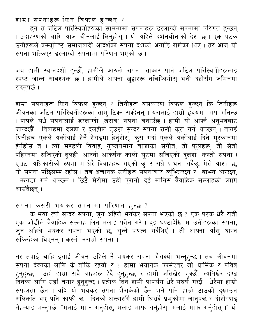हाम्रा सपनाहरू किन बिफल हुन्छन् ?

हुन त जटिल परिस्थितीहरूका सामनामा सपनाहरू डरलाग्दो सपनामा परिणत हुन्छन् । उदाहरणको लागि आज चीनलाई लिनुहोस् । यो अहिले दर्शनबीनाको देश छ । एक पटक उनीहरूले कम्युनिष्ट समाजवादी आदर्शको संपना देशको अगाडि राखेका थिए । तर आज यो सपना भत्किएर डरलाग्दो सपनामा परिणत भएको छ।

जब हामी स्वप्नदर्शी हुन्छौं, हामीले आरुनो सपना साकार पार्न जटिल परिस्थितीहरूलाई .<br>स्पष्ट जान्न आवश्यक छ । हामीले आफ्ना खुट्टाहरू नचिप्लियोस् भनी दह्रोसँग जमिनमा राख्नुपर्छ।

हाम्रा सपनाहरू किन बिफल हुन्छन् ? तिनीहरू यसकारण बिफल हुन्छन् कि तिनीहरू जीवनका जटिल परिस्थितीहरूका सामु टिक्न सक्दैनन् । यसलाई हाम्रो हृदयमा पाप भनिन्छ । पापले सधैं सपनालाई डरलाग्दो (खराब) सपना बनाउँछ । हामी यो आफ्नै अनुभवबाट जान्दछौं । विवाहमा दुलहा र दुलहीले एउटा सुन्दर सपना राखी कुरा गर्न थाल्छन् । तपाईं यिनीहरू एकले अर्कोलाई हेर्ने हेराइमा हेर्नुहोस्, कुरा गर्दा एकले अर्कोलाई दिने मुस्कानमा हेर्नुहोस् त । त्यो मण्डली विवाह, गुञ्जयमान बाजाका संगीत, ती फूलहरू, ती सेतो पहिरनमा सजिएकी दुलही, आरुनो आकर्षक कालो सुटमा सजिएको दुलहा. कस्तो सपना ! एउटा अधिकारीको रुपमा म धेरै विवाहहरू गएको छु, र सधैं प्रार्थना गर्दैछु, मेरो आशा छ,<br>यो सपना पछिसम्म रहोस् । तब अचानक उनीहरू सपनाबाट ब्यूँफिन्छन् र बाभन थाल्छन्, भनगडा गर्न थाल्छन् । छिटै मेरोमा उही पूरानो दुई मानिस वैवाहिक सल्लाहको लागि आउँदैछन् ।

# सपना कसरी भयंकर सपनामा परिणत हुन्छ ?

के भयो त्यो सुन्दर सपना, जुन अहिले भयंकर सपना भएको छ ? एक पटक धेरै राती एक जोडीले वैवाहिक सल्लाह लिन मलाई फोन गरे। दुई घण्टादेखि म उनीहरूका सपना, ्<br>जुन अहिले भयंकर सपना भएको छ, सुन्ने प्रयत्न गर्दैथिएँ । ती आफ्ना आँसु थाम्न सकिरहेका थिएनन् । कस्तो नराम्रो सपना !

तर तपाईं चाहिं इसाई जीवन उहिले नै भयंकर सपना भैसक्यो भन्नुहुन्छ । तब जीवनमा सपना देख्नका लागि के बाँकि रहयो र ? हाम्रा भयानक परमेश्वर<sup>ॅ</sup>जो धार्मिक र पवित्र हुनुहुन्छ, उहाँ हाम्रा सबै चाहहरू हेर्दै हुनुहुन्छ, र हामी जतिखेर चुक्छौं, त्यतिखेर दण्ड दिनका लागि उहाँ तयार हुनुहुन्छ । प्रत्येक दिन हामी पापसँग धेरै संघर्ष गर्छौ । धेरैमा हाम्रो<br>सफलता छैन । यदि यो भयंकर सपना भैसकेको छैन भने पनि हाम्रो टाउको दुखाउन अलिकति भए पनि काफी छ । दिनको अन्त्यसँगै हामी घिस्रंदै प्रभुकोमा जानुपर्छ र दोहोऱ्याइ तेहऱ्याइ भन्नुपर्छ, "मलाई माफ गर्नुहोस्, मलाई माफ गर्नुहोस्, मलाई माफ गर्नुहोस् ।" यो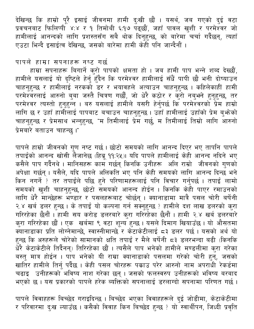देखिन्छ कि हाम्रो पूरै इसाई जीवनमा हामी दुःखी छौं । यसर्थ, जब गएको दुई वटा प्रवचनबाट फिलिप्पी ४:४ र १ तिमोथी ६:१७ पढ्छौं, जहाँ पावल खुशी र परमेश्वर जो हामीलाई आनन्दको लागि प्रशस्तसँग सबै थोक दिनुहुन्छ, को बारेमा चर्चा गर्दैछन्, त्यहाँ एउटा भिन्दै इसाईत्व देखिन्छ, जसको बारेमा हामी केही पनि जान्दैनौं ।

#### पापले हाम्रा सपनाहरू नष्ट गर्छ

हाम्रा सपनाहरू बिगार्ने कुरो पापको क्षमता हो । जब हामी पाप भन्ने शब्द देख्छौं, हामीले यसलाई यो दृष्टिले हेर्नु हुँदैन कि परमेश्वर हामीलाई सँधैं पापी छौ भनी दोष्याउन चाहनुहुन्छ र हामीलाई नरकको डर र भयावहले अत्याउन चाहनुहुन्छ । कहिलेकाही हामी परमेश्वरलाई आरुनो बुबा जस्तै चित्रण गर्छौं, जो धेरै कठोर र कुरो नबुभने हुनुहुन्छ, तर परमेश्वर त्यस्तो हुनुहुन्न । बरु यसलाई हामीले यसरी हेर्नुपर्छ कि परमेश्वरको प्रेम हाम्रो लागि छ र उहाँ हामीलाई पापबाट बचाउन चाहनुहुन्छ । उहाँ हामीलाई उहाँको प्रेम बुभ्रेको चाहनुहुन्छ र प्रेमसाथ भन्नुहुन्छ, "म तिमीलाई प्रेम गर्छु, म तिमीलाई तिम्रो लागि आरुनो प्रेमबारे बताउन चाहन्छु।"

पापले हाम्रो जीवनको गुण नष्ट गर्छ। छोटो समयको लागि आनन्द दिएर भए तापनि पापले तपाईंको आनन्द खोसी लैजानेछ (हिब्रू ११:२५)। यदि पापले हामीलाई केही आनन्द नदिने भए कसैले पाप गर्दैनथे । मानिसहरू काम<sup>े</sup> गर्छन् किनकि उनीहरू अलि राम्रो जीवनको ग्णको अपेक्षा गर्छन् । यसैले, यदि पापले अलिकति भए पनि केही समयको लागि आनन्द दिन्छ भने किन नगर्ने ? तर तपाईले पछि हुने परिणामहरूलाई पनि विचार गर्नुपर्छ । तपाईं लामो समयको खुशी चाहनुहुन्छ, छोटो समयको आनन्द होईन । किनकि केही पाएर रमाउनको लागि धेरै मान्छेहरू भण्डार र पसलहरूबाट चोर्छन् । क्यानाडामा मात्रै पसल चोरी बर्षेनी २.४ खर्ब डलर हुन्छ । के तपाईं यो कल्पना गर्न सक्नुहुन्छ ? हामीले दश लाख डलरको कुरा गरिरहेका छैनौं । हामी सय करोड डलरबारे कुरा गरिरहेका छैनौं । हामी २.४ खर्ब डलरबारे कुरा गरिरहेका छौं । एक खर्बमा ९ वटा शून्य हुन्छ । यसले दिमाग खियाउँछ । यो औसतमा क्यानाडाका प्रति लोग्नेमान्छे, स्वास्नीमान्छे र केटाकेटीलाई ८३ डलर पर्छ । यसको अर्थ यो हुन्छ कि अरुहरूले चोरेको सामानको क्षति तपाईं र मैले बर्षेनी ८३ डलरभन्दा बढी (किनकि धेरै केटाकेटीले तिर्दैनन्) तिरिरहेका छौं । त्यसैले पाप भनेको हामीले मण्डलीमा कुरा गरेका बस्तु मात्र होईन । पाप भनेको यी राम्रा क्यानाडाको पसलमा गरेको चोरी हुन्, जसको खातिर हामीले तिर्नु पर्दैछ । केही पसल चोरहरू पकाउ परेर आरुनो नाम अपराधी रेकर्डमा चढाइ उनीहरूकोँ भविष्य नाश गरेका छन् । जसको फलस्वरुप उनीहरूको भविष्य बरबाद भएको छ । यस प्रकारको पापले हरेक ब्यक्तिको सपनालाई डरलाग्दो सपनामा परिणत गर्छ ।

पापले विवाहहरू बिच्छेद गराइदिन्छ । बिच्छेद भएका विवाहहरूले दुई जोडीमा, केटाकेटीमा र परिवारमा दुःख ल्याउँछ । कसैको विवाह किन बिच्छेद हुन्छ ? यो स्वार्थीपन, जिध्दी प्रवृति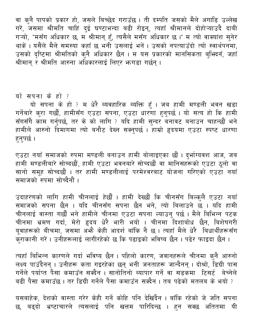वा कुनै पापको प्रकार हो, जसले बिच्छेद गराउँछ । ती दम्पति जसको मैले अगाडि उल्लेख गरें, जसमा श्रीमति चाहिं दुई घण्टाभन्दा बढी रोइन्, त्यहाँ श्रीमानले दोहोऱ्याउदै दाबी गऱ्यो, "मसँग अधिकार छ, म श्रीमान् हुँ, त्यसैले मसँग अधिकार छ ।" म त्यो वाक्यांश सुनेर थाकें। यसैले मैले समस्या कहाँ छ भनी उसलाई भनें। उसको नपत्याउँदो त्यो स्वार्थपनमा, उसको दृष्टिमा श्रीमतिको कुनै अधिकार छैन । म यस प्रकारको मानसिकता बुभिदनँ, जहाँ श्रीमान् र श्रीमति आरुना अधिकारलाई लिएर भन्गडा गर्छन् ।

#### यो सपना के हो ?

यो सपना के हो ? म धेरै ब्यवहारिक ब्यक्ति हूँ । जब हामी मण्डली भवन खडा गर्नेबारे कुरा गर्छौं, हामीसँग एउटा सपना, एउटा धारणा हुनुपर्छ । यो सत्य हो कि हामी सँगसँगै काम गर्नुपर्छ, तर के को लागि ? यदि हामी सुन्दर बनावट बनाउन चाहन्छौं भने हामीले आरुनो दिमांगमा त्यो बनौट देख्न सक्नुपर्छ । हाम्रो हृदयमा एउटा स्पष्ट धारणा हनुपर्छ।

एउटा नयाँ समाजको रुपमा मण्डली बनाउन हामी बोलाइएका छौं । दुर्भाग्यवश आज, जब हामी मण्डलीबारे सोच्दछौं, हामी एउटा भवनबारे सोच्दछौं वा मानिसहरूको एउटा ठूलो वा सानो समूह सोच्दछौं । तर हामी मण्डलीलाई परमेश्वरबाट योजना गरिएको एउटा नयाँ समाजको रुपमा सोच्दैनौं ।

उदाहरणको लागि हामी चीनलाई हेर्छौ । हामी देख्छौं कि चीनसँग बिल्कुलै एउटा नयाँ समाजको सपना छैन । यदि चीनसँग सपना छैन भने, त्यो बिलाउने छ । यदि हामी चीनलाई वास्ता गर्छौ भने हामीले चीनमा एउटा सपना ल्याउनु पर्छ । मैले बिभिन्न पटक चीनमा भ्रमण गर्दा, मेरो हृदय धेरै भारी भयो । चीनमा दिशाबोध छैन, बिशेषगरी यूवाहरूको बीचमा, जसमा अभेै केही आदर्श बाँकि नै छ । त्यहाँ मैले धेरै बिधार्थीहरूसँग कराकानी गरें। उनीहरूलाई लागीरहेको छ कि पढाइको भविष्य छैन । पढेर फाइदा छैन ।

त्यहाँ बिभिन्न कारणले गर्दा भविष्य छैन । पहिलो कारण, जवानहरूले चीनमा क्नै आरुनो लक्ष्य पाउँदैनन् । उनीहरू कता गइरहेका छन् भनी जनताहरू जान्दैनन् । दोश्रो, डिग्री पास गर्नेले पर्याप्त पैसा कमाउँन सक्दैन । सानोतिनो ब्यापार गर्ने वा सडकमा टिसर्ट बेच्नेले बढी पैसा कमाउँछ । तर डिग्री गर्नेले पैसा कमाउँन सक्दैन । तब पढेको मतलब के भयो ?

यसबाहेक, देशको वास्ता गरेर केही गर्ने कोहि पनि देखिंदैन । बाँकि रहेको जे जति सपना छ, बढ्दो भ्रष्टाचारले त्यसलाई पनि खत्तम पारिदिन्छ । हन सक्छ अतितमा यी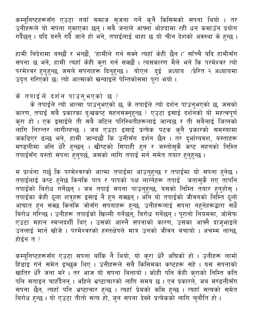कम्यूनिष्टहरूसँग एउटा नयाँ समाज सृजना गर्ने कुनै किसिमको सपना थियो । तर उनीहरूले यो सपना गुमाएका छन् । सबै जनाले आफ्ना ओहदामा रही धन कमाउँन प्रयोग गर्दैछन् । यदि यस्तै गर्दै जाने हो भने, तपाईलाई थाहा छ यो चीन देशको अवस्था के हुन्छ ।

हामी बिदेशमा बस्छौं र भन्छौं, "हामीले गर्न सक्ने त्यहाँ केही छैन ।" साँच्चै यदि हामीसँग सपना छ भने, हामी त्यहाँ केही कुरा गर्न सक्छौं । त्यसकारण मैले भनें कि परमेश्वर त्यो<br>परमेश्वर हुनुहुन्छ, जसले सपनाहरू दिनुहुन्छ । योएल दुई अध्याय (प्रेरित २ अध्यायमा उदत गरिएको छ) त्यो आत्माको खन्याइले पेन्तिकोसमा पुरा भयो ।

के तपाईले दर्शन पाउनुभएको छ ?

के तपाईले त्यो आत्मा पाउनुभएको छ, के तपाईले त्यो दर्शन पाउनुभएको छ, जसको कारण, तपाई सबै प्रकारका दुःखकष्ट सहनसक्नुहुन्छ ? एउटा इसाई दर्शनको यो महत्वपूर्ण कुरा हो । एक इसाईले ती सबै जटिल परिस्थितीहरूलाई जान्दछ र ती सबैलाई जित्नको लागि निरन्तर लागीरहन्छ । जब एउटा इसाई प्रत्येक पटक कुनै प्रकारको समस्यामा जकडिएर ढल्छ भने, हामी जान्दछौं कि उनीसँग दर्शन छैन । तर दूर्भाग्यवश, यस्ताहरू मण्डलीमा अत्ति धेरै हुन्छन् । खीष्टको सिपाही हुन र जस्तोसुकै कष्ट सहनको निम्ति तपाईसँग यस्तो सपना हुनुपर्छ, जसको लागि तपाई मर्न समेत तयार हुनुहुन्छ ।

म प्रार्थना गर्छु कि परमेश्वरको आत्मा तपाईंमा आउनुहुन्छ र तपाईंमा यो सपना हुनेछ ।<br>तपाईंलाई कष्ट हुनेछ किनकि पाप र पापको पक्ष लाग्नेहरू तपाईं जतासुकै गए तापनि<br>तपाईंको बिरोध गर्नेछन् । जब तपाई सपना पाउनुहुन्छ, यसको निम्ति त आघात हुन सक्छ किनकि जोसँग सपनाहरू हुन्छ, उनीहरूलाई सपना नहुनेहरूद्धारा सधैं बिरोध गरिन्छ । उनीहरू तपाईंको खिल्ली गर्नेछन्, बिरोध गर्नेछन् । पूरानो नियममा, जोसेफ एउटा महान स्वप्नदर्शी थिए । उसको आरुनै सपनाको कारण, उसका आफ्नै दाजुभाइले .<br>उनलाई मार्न खोजे । परमेश्वरको हस्तक्षेपले मात्र उनको जीवन बचायो । अचम्म लाग्छ, होईन त ?

कम्यूनिष्टहरूसँग एउटा सपना बाँकि नै थियो, यो कुरा धेरै अघिको हो । उनीहरू लामो<br>हिंडाइ गर्न समेत इच्छुक थिए । उनीहरूले सबै किसिमका कष्टहरू सहे । यस सपनाको रिंडाई सेने समसे इच्छुक ग्वर्ड् में उसाहरूस सब किससमयमें केन्ट्रहरू सह में वस समका<br>खातिर धेरै जना मरे । तर आज यो सपना बिलायो । कोही पनि केही कुराको निम्ति कति<br>पनि सताइन चाहँदैनन् । अहिले भ्रष्टाचारको लागि समय छ । एवं प्रक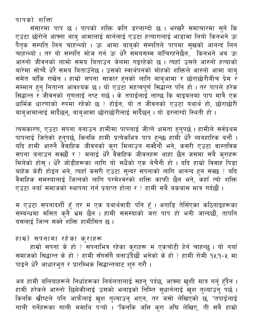पापको शक्ति

संसारमा पाप छ । पापको शक्ति कति डरलाग्दो छ । भरखरै समाचारमा सुनें कि एउटा छोरोले आफ्ना बाबु आमालाई मार्नलाई एउटा हत्यारालाई भाडामा लियो किनभने ऊ .<br>पैतृक सम्पति लिन चाहन्थ्यो । ऊ आमा बाबुको सम्पतिले पापमा सुखको आनन्द लिन<br>चाहन्थ्यो । तर यो सम्पति मोज गर्न ऊ धेरै समयसम्म बाँचिरहनेछैन, किनभने अब ऊ आरुनो जीवनको लामो समय बिताउन जेलमा गइरहेको छ । त्यहाँ उसले आरुनो हत्याको बारेमा सोच्दै धेरै समय बिताउँनेछ । उसको स्वार्थपनको मोहको शक्तिले आरुनो आमा बाब् समेत बाँकि राखेन । हाम्रो सपना साकार हुनको लागि बाबुआमा र छोराछोरीबीच प्रेम र सम्मान हुनु नितान्त आवश्यक छ । यो एउटा महत्वपूर्ण सिद्धान्त पनि हो । तर पापले हरेक सिद्धान्त र जीवनको गुणलाई नष्ट गर्छ । के तपाईलाई लाग्छ कि बाइबलमा पाप मात्रै एक धार्मिक धारणाको रुपमा रहेको छ ? होईन, यो त जीवनको एउटा यथार्थ हो, छोराछोरी बाबुआमालाई मार्दैछन्, बाबुआमा छोराछोरीलाई मार्दैछन् । यो डरलाग्दो स्थिती हो ।

त्यसकारण, एउटा सपना बनाउन हामीमा पापलाई जीत्ने क्षमता हुनुपर्छ । हामीले सर्वप्रथम पापलाई जितेको हुनुपर्छ, किनकि हामी प्रत्येकभित्र पाप हुन्छ। हामी धेरै ब्यबहारिक बनौं । रात्मा सम्मान में बुद्धाओं सम्मान की सम्मान सक्दैनौं भने, कसरी एउटा वास्तविक<br>सपना बनाउन सक्छौं र ? मलाई धेरै वैवाहिक जीवनहरू थाहा छैन जसमा सबै कुराहरू<br>मिलेको होस् । धेरै जोडीहरूका लागि यो सधैंको एक बेचैनी हो । यदि हाम्रो बाहेक केही होइन भने, त्यहाँ कसरी एउटा सुन्दर सपनाको लागि आनन्द हुन सक्छ ? यदि<br>वैवाहिक समस्यालाई जित्नको लागि परमेश्वरको शक्ति काफी छैन भने, कहाँ त्यो शक्ति एउटा नयाँ समाजको स्थापना गर्न प्रयाप्त होला र ? हामी सबै बकबास मात्र गर्दछौं ।

म एउटा सपनादर्शी हुँ तर म एक यथार्थवादी पनि हुँ । अगाडि तेर्सिएका कठिनाइहरूका ्<br>सम्बन्धमा मसित कुनै भ्रम छैन । हामी समस्याको जरा पाप हो भनी जान्दछौं, तापनि यसलाई जित्न सक्ने शक्ति हामीसित छ ।

#### हाम्रो सपनामा रहेका कुराहरू

हाम्रो सपना के हो ? सपनाभित्र रहेका कुराहरू म एकचोटी हेर्न चाहन्छु । यो नयाँ समाजको सिद्धान्त के हो ? हामी सँगसँगै बनाउँदैछौं भनेको के हो ? हामी रोमी १५:१-५ मा पाइने धेरै आधारभूत र प्रारम्भिक सिद्धान्तबाट शुरु गरौं ।

अब हामी बलियाहरूले निर्धाहरूका निर्बलतालाई सहनु पर्दछ, आफ्ना खुशी मात्र गर्नु हुँदैन ।<br>हामी हरेकले आरुनो छिमेकीलाई उसको भलाइको निम्ति सुधार्नलाई खुश तुल्याउनु पर्छ । .<br>किनकि खीष्टले पनि आफैलाई खुश तुल्याउनु भएन, तर जसो लेखिएको छ, "तपाईलाई गाली गर्नेहरूका गाली ममाथि पऱ्यो । "किनकि जत्ति कुरा अघि लेखिए, ती सबै हाम्रो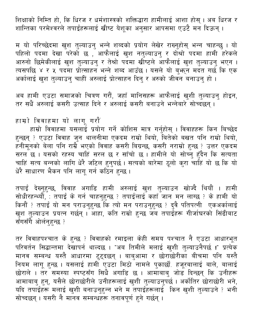शिक्षाको निम्ति हो, कि धिरज र धर्मशास्त्रको शक्तिद्धारा हामीलाई आशा होस् । अब धिरज र शान्तिका परमेश्वरले तपाईंहरूलाई खीष्ट येशुका अनुसार आपसमा एउटै मन दिऊन् ।

म यो परिच्छेदमा खुश तुल्याउनु भन्ने शब्दको प्रयोग लेखेर राख्नुहोस् भन्न चाहन्छु । यो<br>पहिलो पदमा देखा परेको छ , आफैलाई खुश नतुल्याउनु र दोश्रो पदमा हामी हरेकले<br>आरुनो छिमेकीलाई खुश तुल्याउनु र तेश्रो पदमा खीष्टले आफैलाई खुश अर्कालाई खुश तुल्याउन् चाहीं अरुलाई प्रोत्साहन दिन् र अरुको जीवन बनाउन् हो ।

अब हामी एउटा समाजको चित्रण गरौं, जहाँ मानिसहरू आफैलाई खुशी तुल्याउनु होइन, तर सधैं अरुलाई कसरी उत्साह दिने र अरुलाई कसरी बनाउने भन्नेबारे सोच्दछन् ।

हाम्रो विवाहमा यो लागू गरौं

हाम्रो विवाहमा यसलाई प्रयोग गर्ने कोशिस मात्र गर्नुहोस् । विवाहहरू किन बिच्छेद हुन्छन् ? एउटा विवाह जुन थालनीमा एकदम राम्रो थियो, बितेको बखत पनि राम्रो थियो, हनीमूनको बेला पनि राम्रै भएको विवाह कसरी बिग्रन्छ, कसरी नराम्रो हुन्छ ? उत्तर एकदम सरल<sup>ें</sup>छ । यसको रहस्य चाहिं सरल छ र साँचो छ । हामीले यो सोच्नु हुँदैन कि सत्यता<br>चाहिं सत्य बन्नको लागि धेरै जटिल हुनुपर्छ । सत्यको बारेमा ठूलो कुरा चाहिं यो छ कि यो धेरै साधारण भैकन पनि लागू गर्न कठिन हुन्छ ।

तपाई देख्नुहुन्छ, विवाह अगाडि हामी अरुलाई खुश तुल्याउन खोज्दै थियौं । हामी सोधीरहन्थ्यौँ, : तपाईं के गर्न चाहनुहुन्छ ? तपाईलाई कहाँ जान मन लाग्छ ? के हामी यो किनौं ? तपाईं यो मन पराउनुहुन्छ कि त्यो मन पराउनुहुन्छ ? दुवै पतिपत्नी एकअर्कालाई खुश तुल्याउन प्रयत्न गर्छन् । आहा, कति राम्रो हुन्छ जब तपाईँहरू गीर्जाघरको सिंढीबाट सँगसँगै ओर्लनुहुन्छ ?

तर विवाहपश्चात के हुन्छ ? विवाहको रमाइला केही समय पश्चात नै एउटा आधारभूत परिवर्तन सिद्धान्तमा देखापर्न थाल्दछ । "अब तिमीले मलाई खुशी तुल्याउनैपर्छ **!**" प्रत्येक मानव सम्बन्ध यस्तै आधारमा टुट्दछन् । बाबुआमा र छोराछोरीका बीचमा पनि यस्तै नियम लागू हुन्छ । यसलाई हामी एउटा मिठो नामले पुकार्छौ. हजूरबालाई बाले, बालाई छोराले । तर समस्या स्पष्टसँग सिधै अगाडि छ । आमाबाबु जोड दिन्छन् कि उनीहरू<br>आमाबाबु हुन्, यसैले छोराछोरीले उनीहरूलाई खुशी तुल्याउनुपर्छ । अर्कोतिर छोराछोरी भने,<br>यदि तपाईहरू मलाई खुशी बनाउनुहुन्न भने म तपाईहरूलाई किन खुशी त सोच्दछन् । यसरी नै मानव सम्बन्धहरू तनावपूर्ण हने गर्छन् ।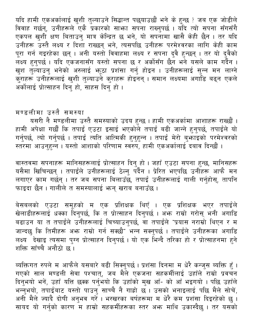यदि हामी एकअर्कालाई खुशी तुल्याउने सिद्धान्त पछ्याउछौं भने के हुन्छ ? जब एक जोडीले विवाह गर्छन्, उनीहरूले एकै प्रकारको साभ्रा सपना राख्नुपर्छ । यदि त्यो सपना सँगसँगै एकपल खुशी क्षण बिताउनु मात्र केन्द्रित छ भने, यो सपनामा खासै केही छैन । तर यदि उनीहरू उस्तै लक्ष्य र दिशा राख्छन् भने, त्यसपछि उनीहरू परमेश्वरका लागि केही काम उपाहरू उस्त सदन र दिया संख्छन् मग, स्वर्तनाछ उपाहरू करनरवस्था साम कहा काम<br>पूरा गर्न गइरहेका छन् । अनी यस्तो विवाहमा लक्ष्य र सपना दुवै हुन्छन् । तर यो दुवैको<br>लक्ष्य हुनुपर्छ । यदि एकजनासँग यस्तो सपना छ र अर्कोसँग छैन भने अर्कोलाई प्रोत्साहन दिन् हो, साहस दिन् हो ।

#### मण्डलीमा उस्तै समस्या

यसरी नै मण्डलीमा उस्तै समस्याको उदय हुन्छ । हामी एकअर्कामा आशाहरू राख्छौं । हामी अपेक्षा गर्छौं कि तपाई एउटा इसाई भएकोले तपाई बढी जान्ने हुनुपर्छ, तपाईले यो<br>गर्नुपर्छ, त्यो गर्नुपर्छ । तपाई त्यति आत्मिकी हुनुहुन्न । तपाई मेरो बुभ्राइको परमेश्वरको स्तरमा आउनहन्न । यस्तो आशाको परिणाम स्वरुप, हामी एकअर्कालाई दबाव दिन्छौं ।

वास्तवमा सपनाहरू मानिसहरूलाई प्रोत्साहन दिनु हो । जहाँ एउटा सपना हुन्छ, मानिसहरू<br>यसैमा खिचिन्छन् । तपाईले उनीहरूलाई ठेल्नु पर्दैन । प्रेरित भएपछि उनीहरू आफै मन<br>लगाएर काम गर्छन् । तर जब सपना बिलाउँछ, तपाई उनीहरूलाई गाली गर फाइदा छैन । गालीले त समस्यालाई भन्न खराब बनाउँछ ।

बेसबलको एउटा समूहको म एक प्रशिक्षक थिएँ । एक प्रशिक्षक भएर तपाईले खेलाडीहरूलाई धक्का दिनुपर्छ, कि त प्रोत्साहन दिनुपर्छ । अभ्र राम्रो गरोस् भनी अगाडि बढाउन या त तपाईंले उनीहरूलाई चिच्याउनुपर्छ, वा तपाईंले "प्रयास नराम्रो थिएन र म जान्दछ कि तिमीहरू अभ्र राम्रो गर्न सक्छौ" भन्न सक्नुपर्छ । तपाईले उनीहरूका अगाडि लक्ष्य<sup>ँ</sup> देखाइ त्यसमा पुग्न प्रोत्साहन दिनुपर्छ । यो एक भिन्दै तरिका हो र प्रोत्साहनमा हुने शक्ति साँच्चै अनौठो छ।

ब्यक्तिगत रुपले म आफैले यसबारे बढी सिक्नुपर्छ । प्रशंसा दिनमा म धेरै कन्जुस ब्यक्ति हुँ ।<br>गएको साल मण्डली सेवा पश्चात्, जब मैले एकजना सहकर्मीलाई उहाँले राम्रो प्रवचन<br>दिनुभयो भनें, उहाँ यत्ति छक्क पर्नुभयो कि उहाँको मुख आँ ्<br>अनी मैले ज्यादै दोषी अनुभव गरें । भरखरका बर्षहरूमा म धेरै कम प्रशंसा दिइरहेको छु ।<br>सायद यो गर्नुको कारण म हाम्रो सहकर्मीहरूका स्तर अभ्र माथि उकास्दैछु । तर यसको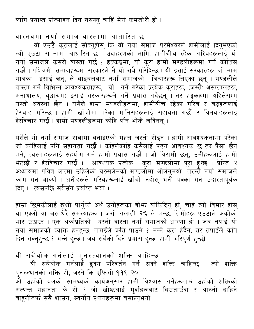लागि प्रयाप्त प्रोत्साहन दिन नसक्नु चाहिं मेरो कमजोरी हो ।

वास्तवमा नयाँ समाज वास्तामा आधारित छ

यो एउटै कुरालाई सोच्नुहोस् कि यो नयाँ समाज परमेश्वरले हामीलाई दिनुभएको त्यो एउटा सपनामा आधारित छ । उदाहरणको लागि, हामीबीच रहेका गरिबहरूलाई यो नयाँ समाजले कसरी वास्ता गर्छ ? हङ्गकङ्गमा, यो कुरा हामी मण्डलीहरूमा गर्ने कोशिस<br>गर्छौं । पश्चिमी समाजहरूमा सरकारले नै यी सबै गरिदिन्छ । यी इसाई सरकारहरू जो नाम मात्रका इसाई छन्, ले बाइबलबाट नयाँ समाजको बिचारहरू लिएका छन् । मण्डलीले वास्ता गर्ने विभिन्न आवश्यकताहरू, यी गर्ने गरेका प्रत्येक कुराहरू, (जस्तैः अस्पतालहरू, अनाथालय, बृद्धाश्रम) इसाई सरकारहरूले गर्ने प्रयास गर्दैछन् । तर हङ्गकङ्गमा अहिलेसम्म यस्तो अवस्था छैन । यसैले हाम्रा मण्डलीहरूमा, हामीबीच रहेका गरिब र बृद्धहरूलाई हेरचाह गरिन्छ । हामी खाँचोमा परेका मानिसहरूलाई सहायता गर्छौं र विधवाहरूलाई हेरविचार गर्छौं । हाम्रो मण्डलीहरूमा कोहि पनि भोकै जाँदैनन् ।

यसैले यो नयाँ समाज हावामा बनाइएको महल जस्तो होइन । हामी आवश्यकतामा परेका जो कोहिलाई पनि सहायता गर्छौं । कहिलेकाहिं कसैलाई पढ्न आवश्यक छ तर पैसा छैन भने, त्यस्ताहरूलाई सहयोग गर्न हामी प्रयास गर्छौं । जो विरामी छन्, उनीहरूलाई हामी भेट्छौं र हेरविचार गर्छौं । आवश्यक प्रत्येक कुरा मण्डलीमा पूरा हुन्छ । प्रेरित २<br>अध्यायमा पवित्र आत्मा उहिलेको यरुसलेमको मण्डलीमा ओर्लनुभयो, तुरुन्तै नयाँ समाजले काम गर्न थाल्यो । धनीहरूले गरिबहरूलाई खाँचो नहोस् भनी पक्का गर्न उदारतापर्वक दिए। त्यसपछि सबैसँग प्रर्याप्त भयो।

हाम्रो छिमेकीलाई खुशी पार्नुको अर्थ उनीहरूका बोभ्र बोकिदिन् हो, चाहे त्यो विमार होस् या एक्लो वा अरु धेरै समस्याहरू । जसो गलाती २:६ ले भन्छ, तिमीहरू एउटाले अर्कोको भार उठाऊ । एक अर्काप्रतिको यस्तो वास्ता नयाँ समाजको धारणा हो । जब तपाईं यो नयाँ समाजको ब्यक्ति हुनुहुन्छ, तपाईंले कति पाउने ? भन्ने कुरा हुँदैन, तर तपाईंले कति दिन सक्नुहुन्छ ? भन्ने हुन्छ । जब सबैको दिने प्रयास हुन्छ, हामी भरिपूर्ण हुन्छौ ।

यी सबैथोक गर्नलाई पुनरुत्थानको शक्ति चाहिन्छ<br>यी सबैथोक गर्नलाई हृदय परिवर्तन गर्न सक्ने शक्ति चाहिन्छ । त्यो शक्ति पुनरुत्थानको शक्ति हो, जस्तै कि एफिसी १:१९-२० ्<br>औ उहाँको बलको सामर्थ्यको कार्यअनुसार हामी विश्वास गर्नेहरूतर्फ उहाँको शक्तिको<br>अत्यन्त महानता के हो ? जो खीष्टलाई मुर्दाहरूबाट बिउताउँदा र आरुनो दाहिने बाहलीतर्फ सबै शासन, स्वर्गीय स्थानहरूमा बसाल्न्भयो ।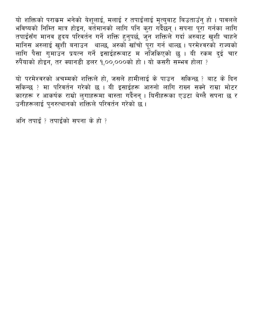यो शक्तिको पराकम भनेको येशूलाई, मलाई र तपाईंलाई मृत्युबाट बिउताउँनु हो । पावलले भविष्यको निम्ति मात्र होइन, वर्तमानको लागि पनि कुरा गर्दैछन् । सपना पूरा गर्नका लागि तपाईसँग मानव हृदय परिवर्तन गर्ने शक्ति हुनुपर्छ, जुन शक्तिले गर्दा अरुबोट खुशी चाहने मानिस अरुलाई खुशी बनाउन थाल्छ, अरुको खाँचो पूरा गर्न थाल्छ । परमेश्वरको राज्यको लागि पैसा गुमाउन प्रयत्न गर्ने इसाईहरूबाट म नोजकिएको छु । यी रकम दुई चार रुपैयाको होइन, तर क्यानडी डलर १,००,०००को हो । यो कसरी सम्भव होला ?

यो परमेश्वरको अचम्मको शक्तिले हो, जसले हामीलाई के पाउन सकिन्छ ? बाट के दिन सकिन्छ ? मा परिवर्तन गरेको छ । यी इसाईहरू आरुनो लागि राख्न सक्ने राम्रा मोटर कारहरू र आकर्षक राम्रो लुगाहरूमा वास्ता गर्दैनन् । यिनीहरूका एउटा बेग्लै सपना छ र उनीहरूलाई पुनरुत्थानको शक्तिले परिवर्तन गरेको छ ।

अनि तपाईं ? तपाईंको सपना के हो ?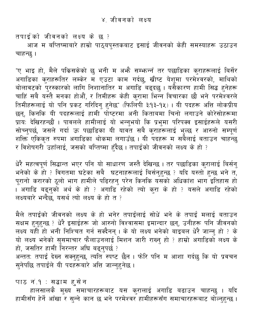<span id="page-31-0"></span>तपाईंको जीवनको लक्ष्य के छ ?

आज म बप्तिष्माबारे हाम्रो पाठ्यपुस्तकबाट इसाई जीवनको केही समस्याहरू उठाउन चाहन्छ ।

"ए भाइ हो, मैले पकिसकेको छु भनी म अभ्गै सम्भान्नँ तर पछाडिका कुराहरूलाई बिर्सेर अगाडिका कुराहरूतिर लम्केर म एउटा काम गर्दछु, खीष्ट येशूमा परमेश्वरको, माथिको बोलावटको पुरस्कारको लागि निशानातिर म अगाडि<sup>ँ</sup>बढ्दछु । यसैकारण हामी सिद्ध हुनेहरू चाहिं सबै यस्तै मनका होऔं, र तिमीहरू केही कुरामा भिन्न विचारका छौ भने परमेश्वरले तिमीहरूलाई यो पनि प्रकट गरिदिनु हुनेछ" (फिलिपी ३:१३-१५) । यी पदहरू अत्ति लोकप्रीय छन्, किनकि यी पदहरूलाई हामी पोष्टरमा अनी किताबमा चिनो लगाउने कोरेसोहरूमा ्रायः देखिरहन्छौ । पावलले हामीलाई यो भन्नुभयो कि प्रभुमा परिपक्व इसाईहरूले यसरी सोच्नुपर्छ, जसले गर्दा ऊ पछाडिका यी यावत सबै कुराहरूलाई भुल्छ र आरुनो सम्पूर्ण शक्ति एकिकृत रुपमा अगाडिका थोकमा लगाउँछ । यी पदहरू म सबैलाई बताउन चाहन्छु र विशेषगरी उहाँलाई, जसको बप्तिष्मा हँदैछ । तपाईको जीवनको लक्ष्य के हो ?

धेरै महत्वपूर्ण सिद्धान्त भएर पनि यो साधारण जस्तै देखिन्छ । तर पछाडिका कुरालाई बिर्सनु भनेको के हो ? विगतमा घटेका सबै घटनाहरूलाई बिर्सनुहुन्छ ? यदि यस्तो हुन्छ भने त, पूरानो करारको ठूलो भाग हामीले पढिरहनु परेन किनकि यसको अधिकांश भाग इतिहास हो । अगाडि बढ्नुको अर्थ के हो ? अगाडि रहेको त्यो कुरा के हो ? यसले अगाडि रहेको लक्ष्यबारे भन्दैछ, यसर्थ त्यो लक्ष्य के हो त ?

मैले तपाईंको जीवनको लक्ष्य के हो भनेर तपाईलाई सोधें भने के तपाईं मलाई बताउन सक्षम हुनुहुन्छ ? धेरै इसाईहरू जो आरुनो विश्वासमा इमान्दार छन्, उनीहरू पनि जीवनको लक्ष्य यही हो भनी निश्चित गर्न सक्दैनन् । के यो लक्ष्य भनेको बाइबल धेरै जान्नु हो ? के यो लक्ष्य भनेको सुसमाचार फैलाउनलाई मिशन जारी राख्नु हो ? हाम्रो अगाडिको लक्ष्य के हो, जसतिर हामी निरन्तर अघि बढ्नुपर्छ ? अन्ततः तपाईं देख्न सक्नुहुन्छ, त्यति स्पष्ट छैन । फोरि पनि म आशा गर्दछु कि यो प्रवचन सुनेपछि तपाईंले यी पदहरूबारे अत्ति जान्नुहनेछ ।

पाठ नं.१ : सद्धाम हुसेन

हालसालकै मुख्य समाचारहरूबाट यस कुरालाई अगाडि बढाउन चाहन्छु । यदि हामीसँग हेर्ने आँखा र सुन्ने कान छ भने परमेश्वर हामीहरूसँग समाचारहरूबाट बोल्नुहुन्छ ।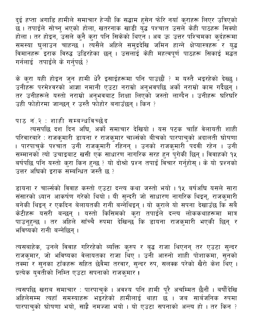दुई हप्ता अगाडि हामीले समाचार हेऱ्यौं कि सद्धाम हुसेन फोरि नयाँ कुराहरू लिएर उत्रिएको छ । तपाईले सोच्नु भएको होला, खतरनाक खाडी युद्ध पश्चात उसले केही पाठहरू सिक्यो होला । तर होइन, उसले कुनै कुरा पनि सिकेको थिएन । अब ऊ उत्तर पश्चिमका कुर्दहरूमा समस्या घुलाउन चाहन्छ<sup>ँ</sup>। त्यसैले अहिले समुद्रदेखि जमिन हान्ने क्षेप्यास्त्रहरू र यद्ध विमानहरू इराक विरुद्ध उडिरहेका छन् । उसलाई केही महत्वपूर्ण पाठहरू सिकाई मद्धत गर्नलाई तपाईले के गर्नपर्छ ?

के कुरा यही होइन जुन हामी धेरै इसाईहरूमा पनि पाउछौं ? म यस्तै भइरहेको देख्छ । उनीहरू परमेश्वरको आज्ञा नमानी एउटा नराम्रो अनुभवपछि अर्को नराम्रो काम गर्दैछन् ।<br>तर उनीहरूले यस्तो नराम्रो अनुभवबाट शिक्षा लिएको जस्तो लाग्दैन । उनीहरू घरिघरि उही फोहोरमा जान्छन् र उस्तै फोहोर बनाउँछन् । किन ?

#### पाठ नं.२ : शाही सम्बन्धविच्छेद

त्यसपछि दश दिन अघि, अर्को समाचार देखियो । यस पटक चाहिं वेलायती शाही परिवारबारे : राजकुमारी डायना र राजकुमार चार्ल्सको बीचको पारपाचुको अदालती घोषणा । पारपाचुके पश्चांत उनी राजकुमारी रहिनन् । उनको राजकुमारी पदवी रहेन । उनी .<br>सम्मानको त्यो उचाइबाट खसी एक साधारण नागरिक सरह हुन पुगेकी छिन् । विवाहको १५<br>बर्षपछि पनि यस्तो कुरा किन हुन्छ ? यो दोश्रो प्रश्न तपाईं विचार गर्नुहोस् । के यो प्रश्नको उत्तर अधिको इराक सम्बन्धित जस्तै छ ?

डायना र चार्ल्सको विवाह कस्तो एउटा दन्त्य कथा जस्तो भयो । १५ बर्षअघि यसले सारा संसारको ध्यान आकर्षण गरेको थियो । यी सुन्दरी जो साधारण नागरिक थिइन्, राजकुमारी ्<br>बनेकी थिइन् र एकदिन बेलायतकी रानी बन्नेथिइन् । यो कुराले यो सपना देखाउँछ कि सबै केटीहरू यसरी बन्छन् । यस्तो किसिमको कुरा तपाईँले दन्त्य लोककथाहरूमा मात्र पाउन्हुन्छ । तर अहिले साँच्चै रुपमा देखिन्छ कि डायना राजकुमारी भएकी छिन् र भविष्यको रानी बन्नेछिन् ।

त्यसबाहेक, उनले विवाह गरिरहेको ब्यक्ति कुरुप र बृद्ध राजा थिएनन् तर एउटा सुन्दर<br>राजकुमार, जो भविष्यका वेलायतका राजा थिए । उनी आरुनो शाही पोशाकमा, सुनको तक्मा र सुनका टाँकहरू सहित छेवैमा तरवार, सुन्दर रुप, सलक्क परेको खैरो केश थिए । प्रत्येक युवतीको निम्ति एउटा सपनाको राजकुमार !

त्यसपछि खराब समाचार : पारपाचुके । अवश्य पनि हामी पूरै अचम्मित छैनौं । बर्षौंदेखि अहिलेसम्म त्यहाँ समस्याहरू भइरहेको हामीलाई थाहा छ । जब सार्बजनिक रुपमा पारपाचको घोषणा भयो, साह्रै नमज्जा भयो । यो एउटा सपनाको अन्त्य हो । तर किन ?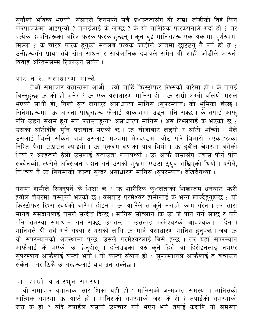सुनौलो भविष्य भएको, संसारले दिनसक्ने सबै प्रशस्ततासँग यी राम्रा जोडीको विहे किन पारपाचुकेमा आइपुग्यो ? तपाईलाई के लाग्छ ? के यो चारित्रिक फरकपनाले गर्दा हो ? तर प्रत्येक दम्पतिहरूका चरित्र फरक फरक हुन्छन् । कुन दुई मानिसहरू एक अर्कामा पूर्णरुपमा .<br>मिल्ला ? के चरित्र फरक हुनुको मतलब प्रत्येक जोडीले अन्तमा छुटि्टनु नै पर्ने हो त ? उनीहरूसँग प्रायः सबै स्रोत साधन र सार्वजानिक दबावले समेत यी शाही जोडीले आरुनो विवाह अन्तिमसम्म टिकाउन सकेन।

#### पाठ नं.३: असाधारण मान्छे

तेश्रो समाचार वृतान्तमा आऔं : त्यो चाहिं किस्टोफर रिभ्सको बारेमा हो । के तपाईं चिन्नुहुन्छ ऊ को हो भनेर ? ऊ एक असाधारण मानिस हो । ऊ राम्रो अग्लो बलियो मसल भएको साथी हो, निलो सुट लगाएर असाधारण मानिस (सुपरम्यान) को भूमिका खेल्छ । .<br>सिनेमाहरूमा, ऊ आरुना पाखुराहरू फैलाई आकाशमा उड्न पनि सक्छ । के तपाई आफू पनि उड्न सक्षम हुन मन पराउनुहुन्न? असाधारण मानिस ! अब रिभ्सलाई के भएको छ ? उसको घाँटीदेखि मुनि पक्षघात भएको छ । ऊ घोडाबाट लड्यो र घाँटी भाँच्यो । मैले उसलाई चिन्नै सकिनँ जब उसलाई मञ्चमा मेरुदण्डमा चोट<sup>ं</sup>परि बिमारी भएकाहरूका निम्ति पैसा उठाउन ल्याइयो । ऊ एकदम दयाका पात्र थियो । ऊ हवील चेयरमा बसेको थियो र अरुहरूले ठेली उसलाई यताउता लानुपर्थ्यो । ऊ आफै राम्रोसँग श्वास फेर्न पनि सक्दैनथ्यो, त्यसैले अक्सिजन प्रदान गर्न उसको मुखमा एउटा ट्यूब राखिएको थियो । यसैले, निश्चय नै ऊ सिनेमाको जस्तो सुन्दर असाधारण मानिस (सुपरम्यान) देखिंदैनथ्यो ।

यसमा हामीले सिक्नुपर्ने के शिक्षा छ ? ऊ शारीरिक कुशलताको शिखरतम धनबाट भनरी हवील चेयरमा बस्नुपर्ने भएको छ । यसबाट परमेश्वर हाँमीलाई के भन्न खोज्दै<u>हनह</u>न्छ ? यो किस्टोफर रिभ्स स्वयंको बारेमा होइन । ऊ आफैले त कुनै नराम्रो काम गरेन । तर सारा मानव समुदायलाई यसले सन्देश दिन्छ । मानिस सोच्लान्ँकि ऊ जे पनि गर्न सक्छ र कुनै पनि समस्या समाधान गर्न सक्छ, उपरान्त : उसलाई परमेश्वरको आवश्यकता पर्दैन । मानिसले यी सबै गर्न सक्ला र यसको लागि ऊ मात्रै असाधारण मानिस हुनुपर्छ । जब ऊ यो सुपरम्यानको अवस्थामा पुग्छ, उसले परमेश्वरलाई बिर्से हुन्छ । तर<sup>ँ</sup>यहाँ सुपरम्यान ्याफैलाई के भएको छ, हेर्नुहोस् । हलिउडका अरु कुनै हिरो वा हिरोइनलाई नभएर<br>सुपरम्यान आफैलाई यस्तो भयो । यो कस्तो संयोग हो ? सुपरम्यानले आफैलाई त बचाउन सकेन । तर ठिकै छ अरुहरूलाई बचाउन सक्नेछ ।

# "मा" हाम्रो आधारभूत समस्या

यो समाचार वृतान्तका सार शिक्षा यही हो : मानिसको जन्मजात समस्या । मानिसको आत्मिक समस्या ँऊ आफै हो । मानिसको समस्याको जरा के हो ? तपाईंको समस्याको जरा के हो ? यदि तपाईंले यसको उपचार गर्न् भएन भने तपाईं कदापि यो समस्या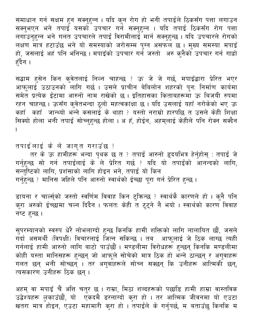समाधान गर्न सक्षम हुन सक्नुहुन्न । यदि कुन रोग हो भनी तपाईले ठिकसँग पत्ता लगाउन सक्नुभएन भने तपाईँ यसकोँ उपचार गर्ने सक्नुहुन्न । यदि तपाईं ठिकसँग रोग पत्ता लगाउनुहुन्न भने गलत उपचारले तपाईं विरामीलाईँ मार्न सक्<u>नुह</u>ुन्छ । यदि उपचारले रोगको लक्षण मात्र हटाउँछ भने यो समस्याको जरोसम्म पुग्न असफल छ । मुख्य समस्या मपाइँ हो, जसलाई अहं पनि भनिन्छ । मपाइँको उपचार गर्ने जस्तो अरु कुनैको उपचार गर्न गाह्रो हँदैन ।

सद्धाम हुसेन किन कुवेतलाई निल्न चाहन्छ ? ऊ जे जे गर्छ, मपाइँद्वारा प्रेरित भएर आफूलाई उठाउनको लागि गर्छ । उसले प्राचीन बेबिलोन शहरको पुनः निर्माण कार्यमा समेत प्रत्येक ईंटामा आरुनो नाम राखेको छ । इतिहासका किताबहरूमा ऊ बिजयी रुपमा रहन चाहन्छ। ऊसँग कुवेतभन्दा ठूलो महत्वकांक्षा छ। यदि उसलाई यहाँ नरोकेको भए ऊ कहाँ कहाँ जान्थ्यो भन्ने कसलाई के थाहा ? यस्तो नराम्रो हारपछि त उसले केही शिक्षा सिक्यो होला भनी तपाई सोच्नुहुन्छ होला । अ हँ, होईन, अहमुलाई केहीले पनि रोक्न सक्दैन

तपाईलाई के ले जागृत गराउँछ ?

तर के ऊ हामीहरू भन्दा पृथक छ त ? तपाई आरुनो हृदयभित्र हेर्नुहोस् : तपाई जे गर्नुहुन्छ सो गर्न तपाईंलाई के ले प्रेरित गर्छ ? यदि यो तपाईंको आनन्दको लागि, सन्तुष्टिको लागि, प्रशंसाको लागि होइन भने, तपाई यो किन गर्नुहुन्छ ? मानिस जहिले पनि आरुनो स्वार्थको ईच्छा पूरा गर्न प्रेरित हुन्छ ।

डायना र चार्ल्स्को जस्तो स्वर्णिम विवाह किन टुक्रिन्छ ? स्वार्थकै कारणले हो । कुनै पनि करा अरुको ईच्छामा चल्न दिंदैन । फलतः केही त टुट्ने नै भयो । स्वार्थको कारण विवाह नष्ट हुन्छ ।

सुपरम्यानको स्वरुप धेरै लोभलाग्दो हुन्छ किनकि हामी शक्तिको लागि लालायित छौं, जसले गर्दा असमर्थी (विपक्षी) विचारलाई जित्न सकिन्छ । तब आफूलाई जे ठिक लाग्छ त्यही गर्नलाई हामी आरुनो लागि बाटो पाउँछौं । मण्डलीमा विरोधहरू हुन्छन् किनकि मण्डलीमा कोही यस्ता मानिसहरू हुन्छन् जो आफूले सोचेको मात्र ठिक हो भन्ने ठान्छन् र अगुवाहरू गलत छन् भनी सोच्छन् । तर अगुवाहरूले सोच्न सक्छन् कि उनीहरू आत्मिकी छन्, त्यसकारण उनीहरू ठिक छन् ।

अहम् वा मपाइँ चैं अत्ति चतुर छ । राम्रा, मिठा शब्दहरूको पछाडि हामी हाम्रा वास्तविक उद्वेश्यहरू लुकाउँछौं, यो एँकदमै डरलाग्दो कुरा हो । तर आत्मिक जीवनमा यो एउटा खतरा मात्र होइन, एउटा महामारी करा हो । तपाईले के गर्नुपर्छ, म बताउँछ किनकि म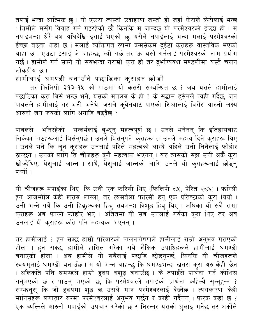तपाईं भन्दा आत्मिक छ। यो एउटा त्यस्तो उदाहरण जस्तो हो जहाँ केटाले केटीलाई भन्छ : तिमीले मसँग विवाह<sup>ँ</sup>गर्न गइरहेकी छौ किनकि म जान्दछु यो परमेश्वरको ईच्छा हो । म तपाईभन्दा धेरै बर्ष अघिदेखि इसाई भएको छु, यसैले तपाईँलाई भन्दा मलाई परमेश्वरको ईच्छा बढ्ता थाहा छ । मलाई ब्यक्तिगत रुपमा कमसेकम दुईटा कुराहरू वास्तविक भएको थाहा छ। एउटा इसाई जे चाहन्छ, त्यो गर्छ तर ऊ यसो गर्नलाई परमेश्वरको नाम प्रयोग गर्छ । हामीले गर्न सक्ने यो सबभन्दा नराम्रो करा हो तर दर्भाग्यवश मण्डलीमा यस्तै चलन लोकप्रीय छ ।

हामीलाई घमण्डी बनाउँने पछाडिका कुराहरु छोडौँ

तर फिलिपी ३:१३-१५ को पाठमा यो कसरी सम्बन्धित छ ? जब यसले हामीलाई पछाडिका कुरा बिर्स भन्छ भने, यसको मतलब के हो ? के सद्धाम हुसेनले त्यही गर्दैछ, जुन पावलले हामीलाई गर भनी भनेथे, जसले क्**वेतबाट पाएको शिक्षालाई बिर्सेर आरुनो** लक्ष्य आरुनो जय जयको लागि अगाडि बढ्दैछ ?

पावलले भनिरहेको सन्दर्भलाई बुभ्रुनु महत्वपूर्ण छ । उनले भनेनन् कि इतिहासबाट<br>सिकेका पाठहरूलाई बिर्सनुपर्छ । उनले बिर्सनुपर्ने कुराहरू त उनले महत्व दिने कुराहरू थिए । उनले भने कि जुन कुराँहरू उनलाई पहिले महत्वको लाग्थे अहिले उनी तिनैलाई फोहोर ठान्छन् । उनको लांगि ति चीजहरू कुनै महत्वका भएनन् । बरु त्यसको सट्टा उनी अर्कै कुरा खोज्दैथिए. येशूलाई जान्न । साथै, येशूलाई जान्नको लागि उनले यी कराहरूलाई छोड़न् पर्थ्यो ।

यी चीजहरू मपाइँका थिए, कि उनी एक फरिसी थिए (फिलिपी ३:५, प्रेरित २३:६)। फरिसी हुनु आजभोलि केही खराब लाग्ला, तर त्यसबेला फरिसी हुनु एक प्रतिष्ठाको कुरा थियो । उनी भन्ने गर्थे कि उनी हिब्रुहरूका हिब्रु सबभन्दा विशुद्ध हिब्रु थिए । अघिका यी सबै राम्रा क्**राहरू अब फाल्ने फोहोर भए । अतितमा यी सब**ँउनलाई गर्बका क्**रा थिए तर अ**ब उनलाई यी कुराहरू कति पनि महत्वका भएनन् ।

तर हामीलाई ? हुन सक्छ हाम्रो परिवारको पालनपोषणले हामीलाई राम्रो अनुभव गराएको होला । हुन सक्छ, हामीले हासिल गरेका सबै शैक्षिक उपाधिहरूले हामीलाई घमण्डी बनाएको होला । अब हामीले यी सबैलाई पछाडि छोड्नुपर्छ, किनकि यी चीजहरूले स्वयम्लाई घमण्डी बनाउँछ । म यो भन्न चाहन्छु कि घमण्डभन्दा खतरा कुरा अरु केही छैन<br>। अलिकति पनि घमण्डले हाम्रो हृदय अशुद्ध बनाउँछ । के तपाईँले प्रार्थना गर्न कोशिस<br>गर्नुभएको छ र पाउनु भएको छ, कि परमेश्वरले तपाईँको प्रार्थना ्णानिसहरू लगातार रुपमा परमेश्वरलाई अनुभव गर्छन् र कोही गर्दैनन् । फरक कहाँ छ ? एक ब्यक्तिले आरुनो मपाइँको उपचार गरेको छ र निरन्तर यसको धुलाइ गर्नेछ तर अर्कोले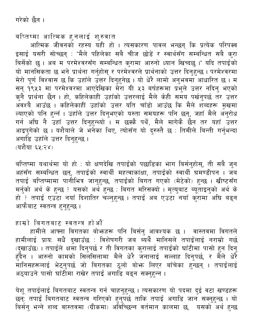गरेको छैन ।

बप्तिष्मा आत्मिक हुनलाई शुरुवात

आत्मिक जीवनको रहस्य यही हो । त्यसकारण पावल भन्छन् कि प्रत्येक परिपक्व इसाई यसरी सोच्छन् : "मैले पहिलेका सबै चीज छोडें र स्वार्थसँग सम्बन्धित सबै कुरा बिर्सेको छु । अब म परमेश्वरसँग सम्बन्धित कुरामा आरुनो ध्यान खिच्दछु ।" यदि तपाईको यो मानसिकता छ भने प्रार्थना गर्नुहोस् र परमेश्वरले प्रार्थनाको उत्तर दिनुहुन्छ । परमेश्वरमा मेरो पूर्ण विश्वास छ कि उहाँले उत्तर दिनुहुनेछ । यो धेरै लामो अनुभवमा आधारित छ । म सन् १९५३ मा परमेश्वरमा आएदेखिका मेरा यी ५३ बर्षहरूमा प्रभुले उत्तर नदिनु भएको<br>कुनै प्रार्थना छैन । हो, कहिलेकाहीं उहाँको उत्तरलाई मैले केही समय पर्खनुपर्छ तर उत्तर<br>अवश्यै आउँछ । कहिलेकाहीं उहाँको उत्तर यति चाँडो आउँछ कि म ल्याएको पनि हुन्नँ । उहाँले उत्तर दिनुभएको यस्ता समयहरू पनि छन्, जहाँ मैले अनुरोध<br>गर्न अघि नै उहाँ उत्तर दिनुहुन्थ्यो । म छक्कै पर्थे, मैले मागेकै छैन तर यहाँ उत्तर आइप्गेको छ । यशैयाले जे भनेका थिए, त्योसँग यो दरुस्तै छ : तिमीले बिन्ती गर्नुभन्दा अगाडि उहाँले उत्तर दिन<u>ह</u>न्छ । (यशैया ६५:२४)

बप्तिष्मा यथार्थमा यो हो : यो क्षणदेखि तपाईंको पछाडिका भाग बिर्सनुहोस्, ती सबै जुन अहंसँग सम्बन्धित छन्, तपाईंको स्वार्थी महत्वाकांक्षा, तपाईंको स्वार्थी घमण्डीपन । जब तपाई बप्तिष्मामा पानीभित्र जानुहुन्छ, तपाईंको बिगत गएको (मेटेको) हुन्छ । खीष्टसँग<br>मर्नुको अर्थ के हुन्छ ? यसको अर्थ हुन्छ : बिगत मरिसक्यो । मृत्युबाट ब्यूताइनुको अर्थ के<br>हो ? तपाई एउटा नयाँ दिशातिर चल्नुहुन्छ । तपाई अब एउ आफैबाट स्वतन्त्र हनुहुन्छ ।

हाम्रो बिगतबाट स्वतन्त्र होऔं

हामीले आफ्ना विगतका बोभ्रुहरू पनि बिर्सनु आवश्यक छ । वास्तवमा विगतले हामीलाई प्रायः सधैं दुखाउँछ : विशेषगरी जब ब्यर्थै मानिसले तपाईलाई नराम्रो गर्छ ्रस्तरीय ग्रीमान्दी आहे. जुदाउडी कार्मसारीय मार्ग करते हो माईको घाँटीमा पासो हुन दिनु<br>हुँदैन । आरुनो कामको सिलसिलामा मैले धेरै जनालाई सल्लाह दिनुपर्छ, र मैले धेरै<br>मानिसहरूलाई भेट्नुपर्छ जो बिगतका ठूलो बोभ्र लिएर बाँचेका ह अठ्याउने पासो घाँटीमा राखेर तपाई अगाडि बढ्न सक्नुहन्न ।

येशू तपाईलाई बिगतबाट स्वतन्त्र गर्न चाहनुहुन्छ । त्यसकारण यो पदमा दुई वटा खण्डहरू<br>छन्: तपाई बिगतबाट स्वतन्त्र गरिएको हुनुपर्छ ताकि तपाई अगाडि जान सक्नुहुन्छ । यो बिर्सन् भन्ने शब्द वास्तवमा (ग्रीकमा) अविच्छिन्न वर्तमान कालमा छ, यसको अर्थ हुन्छ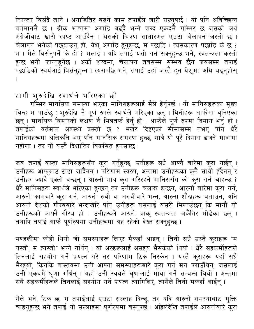निरन्तर बिर्संदै जाने । अगाडितिर बढ्ने काम तपाईंले जारी राख्नुपर्छ । यो पनि अविच्छिन्न वर्तमानमै छ । ग्रीक भाषामा अगाडि बढ्दै भन्ने शब्द एकदमै गम्भिर छ जसको अर्थ अंग्रेजीबाट खासै स्पष्ट आउँदैन । यसको चित्रण साधारणत एउटा चेलापन जस्तो छ । चेलापन भनेको पछयाउनु हो. येशू अगाडि हुनुहुन्छ, म पछाडि । त्यसकारण पछाडि के छ ?<br>म । मैले बिर्सनुपर्ने के हो ? मलाई । यदि तपाई यसो गर्न सक्नुहुन्छ भने, स्वतन्त्रता कस्तो<br>हुन्छ भनी जान्नुहुनेछ । अर्को शब्दमा, चेलापन तबसम्म ्<br>पछाडिको स्वयंलाई बिर्सनहुन्न । त्यसपछि भने, तपाई उहाँ जस्तै हुन येशुमा अघि बढुनुहोस्

हामी शुरुदेखि स्वार्थले भरिएका छौं

गम्भिर मानसिक समस्या भएका मानिसहरूलाई मैले हेर्नुपर्छ। यी मानिसहरूका मुख्य चिन्ह म पाउँछु : शुरुदेखि नै पूर्ण रुपले स्वार्थले भरिएका छन्ँ। यिनीहरू आफैमा थुनिएँका छन् । मानसिक बिमारको लक्षण नै भित्रतर्फ हेर्नु हो . आफैले पूर्ण रुपमा दिमाग भर्नु हो । तपाईंको वर्तमान अवस्था कस्तो छ ? भर्खर दिइएको सीमासम्म नभए पनि धेरै मानिसहरूमा अलिकति भए पनि मानसिक समस्या हुन्छ, मात्रै यो पूरै दिमाग ढाँक्ने मात्रामा नहोला । तर यो यस्तै दिशातिर बिकसित हनसक्छ ।

जब तपाई यस्ता मानिसहरूसँग कुरा गर्नुहुन्छ, उनीहरू सधैं आफ्नै बारेमा कुरा गर्छन् ।<br>उनीहरू आफूबाट टाढा जाँदैनन् । परिणाम स्वरुप, अन्तमा उनीहरूका कुनै साथी हुँदैनन् र<br>उनीहर ज्यादै एक्लो बन्छन् । आरुनो मात्र कुरा गरिरहने मानि .<br>आरुनो कामबारे कुरा गर्न, आरुनो रुची वा अरुचीबारे भन्न, आरुना शौखहरू बताउन, अनि आरुनो देशको गौरबबारे भन्दाखेरि पनि उनीहरू यसलाई यसरी मिलाउँछन् कि मानौं यो उनीहरूको आफ्नै गौरब हो । उनीहरूले आरुनो वाक् स्वतन्त्रता अर्केेतिर मोडेका छन् । तथापि तपाईं आफै पर्णरुपमा उनीहरूमा अहं रहेको देख्न सक्नुहुन्छ।

मण्डलीमा कोही थियो जो समस्याहरू लिएर मैकहाँ आइन् । तिनी सधैं उस्तै कुराहरू "म यस्तो, म त्यस्तो" भन्ने गर्थिन् । यो अरुहरूलाई असहय भैसकेको थियो । धेरै सहकर्मीहरूले तिनलाई सहयोग गर्ने प्रयत्न गरे तर परिणाम ठिक निस्केन । यस्तै कुराहरू यहाँ सधैं भैरह्यो, किनकि वास्तवमा उनी आफ्ना समस्याहरूबारे कुरा गर्न मन पराउँथिन्ः जसलाई उनी एकदमै घृणा गर्थिन् । यहाँ उनी स्वयंले घृणालाई माया गर्ने सम्बन्ध थियो । अन्तमा सबै सहकर्मीहरूले तिनलाई सहयोग गर्ने प्रयत्न त्यागिदिए, त्यसैले तिनी मकहाँ आईन् ।

मैले भनें, ठिक छ, म तपाईंलाई एउटा सल्लाह दिन्छु, तर यदि आरुनो समस्याबाट मुक्ति चाहनुहुन्छ भने तपाईं यो सल्लाहमा पूर्णरुपमा बस्नुपर्छ । अहिलेदेखि तपाईंले आरुनोबारे कुरा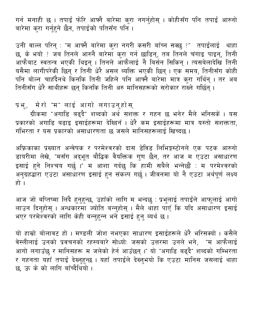गर्न मनाही छ । तपाईं फेरि आफ्नै बारेमा कुरा नगर्नुहोस् । कोहीसँग पनि तपाईं आरुनो बारेमा कुरा गर्नुहुने छैन, तपाईको पतिसँग पनि ।

उनी वाल्ल परिन् : "म आफ्नै बारेमा कुरा नगरी कसरी बाँच्न सक्छु ?" तपाईंलाई थाहा छ, के भयो ? जब तिनले आरुनै बारेमा कुरा गर्न छाडिन्, तब तिनले चंगाइ पाइन्, तिनी आफैबाट स्वतन्त्र भएकी थिइन् । तिनले ऑफैलाई नै बिर्सन सिकिन् । त्यसबेलादेखि तिनी यसैमा लागीपरेकी छिन् र तिनी धेरै असल ब्यक्ति भएकी छिन् । एक समय, तिनीसँग कोही पनि बोल्न चाहँदैनथे किनकि तिनी जहिले पनि आफ्नै बारेमा मात्र करा गर्थिन् । तर अब तिनीसँग धेरै साथीहरू छन् किनकि तिनी अरु मानिसहरूको सरोकार राख्ने गर्छिन् ।

प्रभु, मेरो "म" लाई आगो लगाउनुहोस्

ग्रीकमा "अगाडि बढ्दै" शब्दको अर्थ सशक्त र गहन छ भनेर मैले भनिसकें । यस प्रकारको अगाडि बढाइ इसाईहरूमा देखिनँ । धेरै कम इसाईहरूमा मात्र यस्तो सशक्तता, गंभिरता र यस प्रकारको असाधारणता छ जसले मानिसहरूलाई खिच्दछ।

अफ्रिकाका प्रख्यात अन्वेषक र परमेश्वरको दास डेविड लिभिङ्गस्टोनले एक पटक आरुनो डायरीमा लेखे, "मसँग अद्भूत बौद्धिक वैयक्तिक गुण छैन, तर आज म एउटा असाधारण इसाई हुने निश्चय गर्छु।" म आशा गर्दछु कि हामी सबैले भन्नेछौं : म परमेश्वरको अनुग्रहद्वारा एउटा असाधारण इसाई हुन संकल्प गर्छ । जीवनमा यो नै एउटा अर्थपूर्ण लक्ष्य हो ।

आज जो बप्तिष्मा लिंदै हुनुहुन्छ, उहाँको लागि म भन्दछु : प्रभुलाई तपाईंले आफूलाई आगो लाउन दिन्होस् । अन्धकारमा ज्योति बन्नुहोस् । मैले थाँहा पाँएँ कि यदि असाधारण इसाई भएर परमेश्वरको लागि केही बन्नुहुन्न भने इसाई हुनु ब्यर्थ छ।

यो हाम्रो बोलावट हो । मण्डली जोश नभएका साधारण इसाईहरूले धेरै भरिसक्यो । कसैले वेस्लीलाई उनको प्रवचनको रहस्यबारे सोध्योः जसको उत्तरमा उनले भने, "म आफैलाई आगो लगाउँछ र मानिसहरू म जलेको हेर्न आउँछन् ।" यो "अगाडि बढ्दै" शब्दको गम्भिरता र गहनता यहाँ तपाईं देख्नुहुन्छ । यहाँ तपाईंले देख्नुभयो कि एउटा मानिस जसलाई थाहा छ, ऊ के को लागि बाँच्दैथियो ।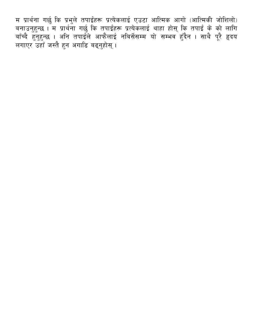म प्रार्थना गर्छु कि प्रभुले तपाईंहरू प्रत्येकलाई एउटा आत्मिक आगो (आत्मिकी जोशिलो)<br>बनाउनुहुन्छ । म प्रार्थना गर्छु कि तपाईंहरू प्रत्येकलाई थाहा होस् कि तपाईं के को लागि<br>बाँच्दै हुनुहुन्छ । अनि तपाईंले आफैलाई नबिर्सेसम्म य लगाएर उहाँ जस्तै हुन अगाडि बढ्नुहोस् ।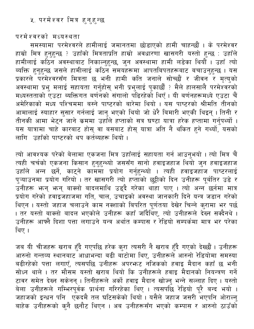#### <span id="page-40-0"></span>५. परमेश्वर मित्र हुनुहुन्छ

परमेश्वरको मध्यस्थता

समस्यामा परमेश्वरले हामीलाई जमानतमा छोडाएको हामी चाहन्छौं । के परमेश्वर हाम्रो मित्र हुनुहुन्छ ? उहाँको मित्रताप्रति हाम्रो अवधारणा खासगरी यस्तो हुन्छ : उहाँले हामीलाई कठिन अवस्थाबाट निकाल्नुहुन्छ, जुन अवस्थामा हामी लडेका थियौँ । उहाँ त्यो ब्यक्ति हुनुहुन्छ जसले हामीलाई कठिन समयहरूमा आपतबिपतहरूबाट बचाउनुहुन्छ । यस प्रकारले परमेश्वरसँग मित्रता छ भनी हामी कति जनाले सोच्छौं र जीवन<sup>ँ</sup>र मृत्युको अवस्थामा प्रभु मलाई सहायता गर्नुहोस् भनी प्रभुलाई पुकार्छौं ? मैले हालसालै परमेश्वरको मध्यस्तताको एउटा ब्यक्तिगत बर्णनको संगालो पढिरहेको थिएँ । यी बर्णनहरूमध्ये एउटा चैं अमेरिकाको मध्य पश्चिममा बस्ने पाष्टरको बारेमा थियो । यस पाष्टरको श्रीमति तीनको आमालाई स्याहार सुसार गर्नलाई जानु भएको थियो जो धेरै बिमारी भएकी थिइन् । तिनी र तीनकी आमा भेट्न जाने कममा उहाँले हप्ताको सत्र घण्टा यात्रा हरेक हप्तामा गर्नुपर्थ्यो । यस यात्रामा चाहे कारबाट होस् वा बसबाट होस् यात्रा अति नै थकित हुने गर्थ्यो, यसको लागि उहाँको पाष्टरको थप कर्तब्यहरू थियो ।

त्यो आवश्यक परेको बेलामा एकजना मित्र उहाँलाई सहायता गर्न आउनुभयो । त्यो मित्र चैं त्यही चर्चको एकजना किसान हुनुहुन्थ्यो जससँग सानो हवाइजहाज थियो जुन हवाइजहाज<br>उहाँले अन्न छर्ने, काट्ने काममा प्रयोग गर्नुहुन्थ्यो । त्यही हवाइजहाज पाष्टरलाई पुऱ्याउनमा प्रयोग गरियो । तर खासगरी त्यो हप्ताको छुट्टीको दिन उनीहरू पूर्बतिर उडे र उनीहरू भन् भन् बाक्लो बादलमाथि उड्दै गरेका थाहा पाए । त्यो अन्न<sup>े</sup>छर्नमा मात्र प्रयोग गरेको हवाइजहाजमा गति, चाल, उचाइको अवस्था जानकारी दिने यन्त्र जडान गरेको थिएन । यस्तो जहाज चलाउने काम नक्शाको बिपरित पूर्णतया देखेर चिन्ने करामा भर पर्छ । तर यस्तो बाक्लो बादल भएकोले उनीहरू कहाँ जाँदैथिए, त्यो उनीहरूले देख्न सक्दैनथे । उनीहरू आफ्नै दिशा पत्ता लगाउने यन्त्र अर्थात कम्पास र रेडियो सम्पर्कमा मात्र भर परेका थिए।

जब यी चीजहरू खराब हुँदै गएपछि हरेक कुरा त्यसरी नै खराब हुँदै गएको देख्छौं । उनीहरू आरुनो गन्तव्य स्थानबाट आधाभन्दा बढी बाँटोमा थिए, उनीहरूले आरुनो रेडियोमा समस्या बढीरहेको पत्ता लगाएँ, त्यसपछि उनीहरू अपरभ्रुट नजिकको हवाइ मैदान कहाँ छ भनी सोध्न थाले । तर मौसम यस्तो खराब थियो कि उनीहरूले हवाइ मैदानको नियन्त्रण गर्ने टावर समेत देख्न सकेनन् । तिनीहरूले अर्को हवाइ मैदान खोज्न् भन्ने सल्लाह दिए । यस्तो बेला उनीहरूले गम्भिरपूर्वक प्रार्थना गरिरहेका थिए । त्यसपछि रेडियो पूरै बन्द भयो । जहाजको इन्धन पनि एकदमै तल घटिसकेको थियो। यसैले जहाज जसरी भएपनि ओराल्न् बाहेक उनीहरूको कुनै छनौट थिएन । अब उनीहरूसँग भएको कम्पास र आरुनो ठाउँको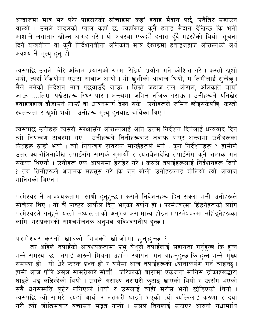अन्दाजमा मात्र भर परेर पाइलटको सोचाइमा कहाँ हवाइ मैदान पर्छ, उतैतिर उडाउन थाल्यो । उसले बादलको प्वाल कहाँ छ, त्यहाँबाट कुनै हवाइ मैदान देखिन्छ कि भनी आशाले लगातार खोज्न आग्रह गरे । यो अवस्था एकदमैँ हतास हुँदै गइरहेको थियो, सूचना दिने यन्त्रबीना वा कनै निर्देशनबीना अलिकति मात्र देखाइमा हवाइजहाज ओराल्नुको अर्थ अवश्य नै मृत्यु हुनु हो ।

त्यसपछि उसले फोरि अन्तिम प्रयासको रुपमा रेडियो प्रयोग गर्ने कोशिस गरे । कस्तो खुशी<br>भयो, त्यहाँ रेडियोमा एउटा आवाज आयो । यो खुशीको आवाज थियो, म तिमीलाई सुन्दैछु । .<br>मैले भनेको निर्देशन मात्र पछयाउँदै जाऊ । तिम्रो जहाज तल ओराल, अलिकति बायाँ जाऊ......तिम्रा पखेटाहरू स्थिर पार । अन्त्यमा जमिन नजिक गराऊ । उनीहरूले यतिखेर हवाइजहाज दौडाउने ठाऊँ वा धावनमार्ग देख्न सके। उनीहरूले जमिन छोइसकेपछि, कस्तो स्वतन्त्रता र खुशी भयो । उनीहरू मृत्यु हुनबाट बाँचेका थिए ।

त्यसपछि उनीहरू त्यसरी सुरक्षासँग ओराल्नलाई अत्ति उत्तम निर्देशन दिनेलाई धन्यवाद दिन त्यो नियन्त्रण टावरमा गए । उनीहरूले तिनीहरूबाट जवाफ पाएर अन्त्यमा उनीहरूका केशहरू ठाडो भयो । त्यो नियन्त्रण टावरका मान्छेहरूले भने : कुन निर्देशनहरू ? हामीले .<br>उत्तर क्यारोलिनादेखि तपाईंसँग सम्पर्क गुमायौं र त्यसबेलादेखि तपाईंसँग कुनै सम्पर्क गर्न<br>सकेका थिएनौं । उनीहरू एक आपसमा हेराहेर गरे । कसले तपाईंहरूलाई निर्देशनहरू दियो <sub>?</sub> तब तिनीहरूले अचानक महसुस गरे कि जुन बोली उनीहरूलाई बोलियो त्यो आवाज मानिसको थिएन ।

परमेश्वर नै आवश्यकतामा साथी हुनुहुन्छ । कसले निर्देशनहरू दिन सक्ला भनी उनीहरूले<br>सोचेका थिए । यो चैं पाष्टर आफैले दिनु भएको बर्णन हो । परमेश्वरमा हिंड्नेहरूको लागि परमेश्वरले गर्नुहुने यस्तो मध्यस्तताको अनुभव असामान्य होइन । परमेश्वरमा नहिंड्नेहरूका लागि, यसप्रकारको आश्चर्यजनक अनुभव अविश्वसनीय हुन्छ ।

परमेश्वर कस्तो खाल्को मित्रको खोजीमा हुनुहुन्छ ?

तर अहिले तपाईको आवश्यकतामा प्रभु येशूले तपाईलाई सहायता गर्नुहुन्छ कि हुन्न भन्ने समस्या छ । तपाई आरुनो मित्रता उहाँमा स्थापना गर्न चाहनुहुन्छ कि हुन्न भन्ने मुख्य<br>समस्या हो । यो धेरै फरक प्रश्न हो र यसैमा आज तपाईहरूको ध्यानाकर्षण गर्न चाहन्छु ।<br>हामी आज फोरे असल सामरीबारे सोचौं । जेरिकोको बाटोमा घाइते भइ लडिरहेको थियो । उसले असाध्य नराम्ररी कुटाइ खाएको थियो र ऊसँग भएको सबै धनसम्पति लुटेर लगिएको थियो र उसलाई त्यहीं मरोस् भनी छोडिएको थियो । त्यसपछि त्यो सामरी त्यहाँ आयो र नराम्ररी घाइते भएको त्यो ब्यक्तिलाई करुणा र दया गरी त्यो जोखिमबाट बचाउन मद्धत गऱ्यो । उसले तिनलाई उठाएर आरुनो गधामाथि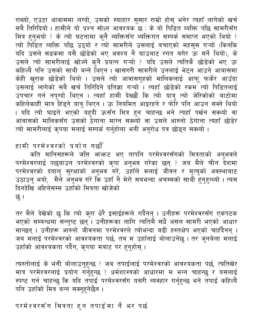राख्यो, एउटा आबासमा लग्यो, उसको स्याहार सुसार राम्रो होस् भनेर त्यहाँ लागेको खर्च सबै तिरिदियो । हामीले यो प्रश्न सोध्न आवश्यक छ : के यो पिडित ब्यक्ति पछि सामरीसँग मित्र हुनुभयो ? के त्यो घटनामा कुनै ब्यक्तिसँग ब्यक्तिगत सम्पर्क समाप्त भएको थियो ? त्यो पिडित ब्यक्ति पछि उठ्यो र त्यो सामरीले उसलाई बचाएको महसुस गऱ्यो (किनकि यदि उसले सडकमा यसै छोडेको भए अवश्य नै घाउबाट रगत बगेर ऊँ मर्ने थियो), के उसले त्यो सामरीलाई खोज्ने कुनै प्रयत्न गऱ्यो ? यदि उसले त्यतिकै छोडेको भए ऊ कहिल्यै पनि उसको साथी बन्ने थिएन । खासगरी सामरीले उनलाई भेट्न आउने आबासमा केही खुराक छोडेको थियो । उसले त्यो आवासगृहको मालिकलाई आफू फर्केर आउँदा उसलाई लागेको सबै खर्च तिरिदिने प्रतिज्ञा गऱ्यो<sup>ँ</sup>। त्यहाँ छोडेको रकम<sup>ँ</sup>त्यो पिडितलाई उपचार गर्न नपुग्दो थिएन । त्यहाँ हामी देख्छौं कि त्यो यात्रु त्यो जेरिकोको बाटोमा कहिलेकाहीं मात्र हिंड्ने यात्रु थिएन । ऊ नियमित आइरहने र फोरे पनि आउन सक्ने थियो । यदि त्यो घाइते भएको यहूदी ऊसँग मित्र हुन चाहन्छ भने त्यहाँ पर्खन सक्थ्यो वा आबासको मालिकसँग उसको ठेगाना माग्न सक्थ्यो वा उसले आरुनो ठेगाना त्यहाँ छोडेर त्यो सामरीलाई कृपया मलाई सम्पर्क गर्नुहोला भनी अनुरोध पत्र छोडुन सक्थ्यो ।

हामी परमेश्वरको प्रयोग गर्छौँ

कति मानिसहरूले जत्ति भनंभन्ट भए तापनि परमेश्वरसँगको मित्रताको अनुभवले परमेश्वरलाई पछयाउन परमेश्वरको कृपा अनुभव गरेका छन् ? जब मैले चीन देशमा<br>परमेश्वरको दयालु सुरक्षाको अनुभव गरें, उहाँले मलाई जीवन र मृत्युको अवस्थाबाट<br>उठाउनु भयो, मैले अनुभव गरें कि उहाँ नै मेरो सबभन्दा अचम्मको साथी हुनुहुन् दिनदेखि अहिलेसम्म उहाँको मित्रता खोजेको छ ।

तर मैले देखेको छु कि त्यो कुरा धेरै इसाईहरूले गर्दैनन् । उनीहरू परमेश्वरसँग एकपटक भएको सम्बन्धमा सन्तुष्ट छन् । उनीहरूका लागि त्यतिमै सधैं असल सामरी भएको आधार मान्छन् । उनीहरू आरुनो जीवनमा परमेश्वरले त्योभन्दा बढी हस्तक्षेप भएको चाहँदैनन् । जब मलाई परमेश्वरको आवश्यकता पर्छ, तब म उहाँलाई बोलाउनेछु । तर जुनबेला मलाई उहाँको आवश्यकता पर्दैन, कृपया मबाट पर हुनुहोस् ।

त्यस्तोलाई के भनी बोलाउनुहुन्छ ? जब तपाईंलाई परमेश्वरको आवश्यकता पर्छ, त्यतिखेर मात्र परमेश्वरलाई प्रयोग गर्नुहुन्छ ? धर्मशास्त्रको आधारमा म भन्न चाहन्छु र यसलाई स्पष्ट गर्न चाहन्छ कि यदि तपाई परमेश्वरसँग यसरी ब्यवहार गर्नुहुन्छ भने तपाई कहिल्यै पनि उहाँको मित्र बन्न सक्नुहनेछैन ।

परमेश्वरसँग मित्रता हुन तपाईमा नै भर पर्छ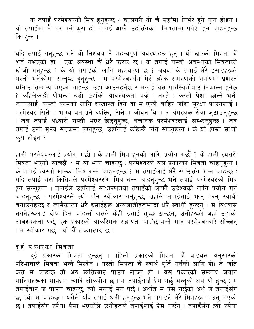के तपाईं परमेश्वरको मित्र हुनुहुन्छ ? खासगरी यो चैं उहाँमा निर्भर हुने कुरा होइन । यो तपाईमा नै भर पर्ने कुरा हो, तपाई आफै उहाँसँगको मित्रतामा प्रवेश हुन चाहनुहुन्छ कि हन्न ।

यदि तपाईं गर्नुहुन्छ भने यी निश्चय नै महत्वपूर्ण अवस्थाहरू हुन् । यो खाल्को मित्रता चैं<br>शर्त नभएको हो । एक अवस्था चैं धेरै फरक छ । के तपाईं यस्तो अवस्थाको मित्रताको ्राः<br>खोजी गर्नुहुन्छ ? के यो तपाईको लागि महत्वपूर्ण छ ? अथवा के तपाई धेरै इसाईहरूले ्<br>यस्तो भनेकोमा सन्तुष्ट हुनुहुन्छ : म परमेश्वरसँग मेरो हरेक समस्याको समयमा प्रशस्त घनिष्ट सम्बन्ध भएको चाहन्छु, उहाँ आउनुहुनेछ र मलाई यस परिस्थितीबाट निकाल्नु हुनेछ <u>? कहिलेकाहीं योभन्दा बढी उहाँको आवर्थ्यकता पर्छ । जस्तै : कस्तो पेशा छान्ने भनी</u> जान्नलाई, कस्तो कामको लागि दरखास्त दिने वा म एक्लै बाहिर जाँदा सुरक्षा पाउनलाई । परमेश्वर सित्तैमा भाग्य बताउने ब्यक्ति, सित्तैमा जीवन बिमा र अंगरक्षक सेवा जुटाउनुहुन्छ । जब तपाई अँध्यारो गल्ली भएर हिंड्नुहुन्छ, अचानक परमेश्वरलाई सम्भन्नुहुन्छ । जब तपाई ठूलो मुख्य सडकमा पुग्नुहुन्छ, उहाँलाई कहिल्यै पनि सोच्नुहुन्न । के यो हाम्रो साँचो करा होइन ?

हामी परमेश्वरलाई प्रयोग गर्छौं । के हामी मित्र हुनको लागि प्रयोग गर्छौं ? के हामी त्यसरी लेगा सरसरस्याद क्यान गड़ा से सामाराम हुन्नमा आप क्यान गड़ा ।<br>मित्रता भएको सोच्छौं ? म यो भन्न चाहन्छु : परमेश्वरले यस प्रकारको मित्रता चाहन्छु :<br>यदि तपाई यस किसिमले परमेश्वरसँग मित्र बन्न चाहनुहुन्छ भने तपाई परमेश्वरको मि हुन सक्नुहुन्न । तपाईले उहाँलाई साधारणतया तपाईको आफ्नै उद्वेश्यको लागि प्रयोग गर्न चाहनुहुन्छ । परमेश्वरले त्यो पनि स्वीकार गर्नुहुन्छ, उहाँले तपाईंलाई भन्त् भन् स्वार्थी बनाउनुहुन्छ र त्यसैकारण धेरै इसाईहरू अन्यजातीहरूभन्दा धेरै स्वार्थी हुन्छन् । म विश्वास नगर्नेहरूलाई दोष दिन चाहन्नँ जसले केही इसाई तुच्छ ठान्छन्, उनीहरूले जहाँ उहाँको आवश्यकता पर्छ, एक प्रकारको आकस्मिक सहायता पाउँछ भन्ने मात्र परमेश्वरबारे सोच्छन् । म स्वीकार गर्छ : यो चैं लज्जास्पद छ ।

दुई प्रकारका मित्रता

ँ दुई प्रकारका मित्रता हुन्छन् । पहिलो प्रकारको मित्रता चैं बाइबल अनुसारको<br>परिभाषाले मित्रता भन्नै मिल्दैन । यस्तो मित्रता चैं स्वार्थ पूर्ति गर्नको लागि हो। जे जति गरमात्राल मन्दता मन्ने मिल्दने । बरता मन्दता व रवाव गूरा गनका लाग हो। ज आत<br>कुरा म चाहन्छु ती अरु ब्यक्तिबाट पाउन खोज्नु हो । यस प्रकारको सम्बन्ध जवान<br>मानिसहरूका माभ्रमा ज्यादै लोकप्रीय छ । म तपाईलाई प्रेम गर्छु भन्नुको अर छ, त्यो म चाहन्छु । यसैले यदि तपाईं धनी हुनुहुन्छ भने तपाईंले धेरै मित्रहरू पाउनु भएको छ । तपाईसँग रुपैंया पैसा भएकोले उनीहरूले तपाईलाई प्रेम गर्छन् । तपाईसँग त्यो रुपैंया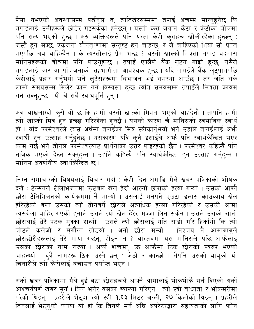पैसा नभएको अवस्थासम्म पर्खनुस् त, त्यतिखेरसम्ममा तपाई अचम्म मान्नुहुनेछ कि तपाईलाई उनीहरूले छोडेर गइसकेंका हुनेछन् । यस्तो कुरा जवान केटा र केटीका बीचमा पनि सत्य भएको हुन्छ । अरु ब्यक्तिहरूले पनि यस्ता केही कुराहरू खोजीरहेका हुन्छन् : जस्तै हुन सक्छ, एकजना यौनतृष्णामा सन्तुष्ट हुन चाहन्छ, र जे चाहिएको थियो सो प्राप्त भएपछि अब चाहिन्दैन । के त्यस्तोलाई प्रेम भन्छ ? यस्तो खाल्को मित्रता तपाई बदमास .<br>मानिसहरूको बीचमा पनि पाउनुहुन्छ । तपाई एक्लैले बैंक लुट्न गाह्रो हुन्छ, यसैले तपाईलाई चार वा पाँचजनाको सहभागीता आवश्यक हुन्छ । यदि तपाईले बैंक लुट्पातपछि .<br>केहीलाई प्रहार गर्नुभयो भने लुटेराहरूमा बिभाजन भई समस्या आउँछ । तर जति सके लामो समयसम्म मिलेर काम गर्न विस्वस्त हुन्छ त्यति समयसम्म तपाईंले मित्रता कायम गर्न सक्नुहुन्छ । यी चैं सबै स्वार्थपूर्ति हुन् ।

अब चाखलाग्दो कुरो यो छ कि हामी यस्तो खाल्को मित्रता भएको चाहँदैनौं । तापनि हामी त्यो खाल्को मित्र हुन इच्छा गरिरहेका हुन्छौं । यसको कारण चैं मानिसको स्वभाविक स्वार्थ हो । यदि परमेश्वरले त्यस अर्थमा तपाईँको मित्र स्वीकार्नुभयो भने उहाँले तपाईँलाई अभ्नै स्वार्थी हुन उत्साह गर्नुहुनेछ । यसकारण यदि कुनै इसाईले अभ्गै पनि स्वार्थकेन्द्रित भएर काम गर्छ भने तीनले परमेश्वरबाट प्रार्थनाको उत्तर पाइरहेको छैन । परमेश्वर कहिल्यै पनि नजिक भएको देख्न सक्नुहुन्न । उहाँले कहिल्यै पनि स्वार्थकेन्द्रित हुन उत्साह गर्नुहुन्न । मानिस अवर्णनीय स्वार्थकेन्द्रित छ ।

निम्न समाचारको बिषयलाई बिचार गर्दा : केही दिन अगाडि मैले खबर पत्रिकाको शीर्षक देखें : टेक्सनले टेलिभिजनमा फुटबल खेल हेर्दा आरुनो छोराको हत्या गऱ्यो । उसको आफ्नै छोरा टेलिभिजनको कार्यक्रममा नै माऱ्यो । उसलाई मनपर्ने एउटा डलास काउब्वाय खेल हेरिरहेको बेला उसको त्यो तीनबर्षे छोराले अत्यधिक हल्ला गरिरहेको र उसकी आमा त्यसबेला बाहिर गएकी हुनाले उसले त्यो खेल हेरेर मज्जा लिन सकेन। उसले उसको सानो छोरालाई धेरै पटक मुक्का हान्यो । उसले त्यो छोरालाई यति साह्रो गरि हिर्कायो कि त्यो चोटले कलेजो र मृंगौला तोड्यो । अनी छोरा मऱ्यो । निश्चय नै आमाबाबुले छोराछोरीहरूलाई धेरै माया गर्छन्, होइन त ? वास्तवमा यस मानिसले पछि आफैलाई उसको छोराको नाम राख्यो । अर्को शब्दमा, ऊ आफैमा ठिक छोराको स्वरुप भएको चाहन्थ्यो । दुवै नामहरू ठिक उस्तै छन् : जेठो र कान्छो । तैपनि उसको बाबुको यो चिनारीले त्योँ केटोलाई बचाउन पर्याप्त भएन ।

अर्को खबर पत्रिकामा मैले दुई वटा छोराहरूले आफ्नै आमालाई भोकभोकै मर्न दिएको अर्को आश्चर्यपूर्ण खबर सुनें । किन भनेर यसको ब्याख्या गरिएन । त्यो स्त्री बाध्यता र भोकमरीमा परेकी थिइन् । प्रहरीले भेट्दा त्यो स्त्री १.६३ मिटर अंग्ली, २७ किलोकी थिइन् । प्रहरीले तिनलाई भेट्नुको कारण यो हो कि तिनले मर्न अघि अपरेटरद्धारा सहायताको लागि फोन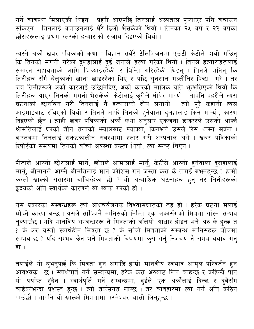गर्ने ब्यवस्था मिलाएकी थिइन् । प्रहरी आएपछि तिनलाई अस्पताल प्ऱ्याएर पनि बचाउन सकिएन । तिनलाई बचाउनलाई धेरै ढिलो भैसकेको थियो । तिनका २५ बर्ष र २२ बर्षका छोराहरूलाई प्रथम स्तरको हत्याराको सजाय दिइएको थियो ।

त्यस्तै अर्को खबर पत्रिकाको कथा : बिहान सबेरै टेलिभिजनमा एउटी केटीले दाबी गर्छिन् कि तिनको मगनी गरेको दुलहालाई दुई जनाले हत्या गरेको थियो । तिनले हत्याराहरूलाई समात्न सहायताको लागि<sup>ँ</sup>चिच्याइरहेकी र बिन्ति गरिरहेकी थिइन् । तिनले भनिन् कि तिनीहरू सँगै बेल्**काको खाना खाइरहेका थिए र पछि सुनसान गल्ली**तिर पिछा गरे । तर जब तिनीहरूले अर्को कारलाई उछिनिदिए, अर्को कारको मालिक यति भुत्भुतिएको थियो कि तिनीहरू आएर तिनको मगनी भैसकेको केटोलाई छुरीले घोपेर माऱ्यो । तापनि प्रहरीले त्यस घटनाको छानबिन गरी तिनलाई नै हत्याराको दोष लगायो । त्यो पूरै कहानी त्यस आइमाइबाट रचिएको थियो र तिनले आफै तिनको हुनेवाला दुलहालाई किन माऱ्यो, कारण दिइएको छैन । त्यही खबर पत्रिकाको अर्को कथा अनुसार एकजना डाक्टरले उसको आफ्नै श्रीमतिलाई घरको तीन तलाको भयालबाट फ्याँक्यो, किनभने उसले रिस थाम्न सकेन । वास्तवमा तिनलाई संकटकालीन अवस्थामा हतार गरी अस्पताल लगे । खबर पत्रिकाको रिपोर्टको समयमा तिनको बाँच्ने अवस्था कस्तो थियो, त्यो स्पष्ट थिएन ।

पीताले आरुनो छोरालाई मार्न, छोराले आमालाई मार्नु, केटीले आरुनो हुनेवाला दुलहालाई मार्नु, श्रीमान्ले आफ्नै श्रीमतिलाई मार्न कोशिस गर्नु जस्ता कुरा के तपाई बुभनुहुन्छ ? हामी कस्तो खाल्को संसारमा बाँचिरहेका छौं ? यी अत्याधिक घटनाहरू हुन् तर तिनीहरूको हृदयको अत्ति स्वार्थको कारणले यो ब्यक्त गरेको हो ।

यस प्रकारका सम्बन्धहरू त्यो आश्चर्यजनक विश्वासघातको तह हो । हरेक घटना मलाई घोच्ने कारण बन्छ । यसले साँच्चिनै मानिसको निम्ति एक अर्कासँगको मित्रता गाँस्न सम्भव तुल्याउँछ । यदि मानविय सम्बन्धहरू नै मित्रताको बलियो आधार होइन भने अरु के हुन्छ त ? के अरु यस्तो स्वार्थहीन मित्रता छ ? के साँचो मित्रताको सम्बन्ध मानिसहरू बीचमा सम्भव छ ? यदि सम्भव छैन भने मित्रताको बिषयमा कुरा गर्नु निश्चय नै समय बर्बाद गर्नु हो ।

तपाईंले यो बुभनुपर्छ कि मित्रता हुन अगाडि हाम्रो मानवीय स्वभाव आमूल परिवर्तन हुन सम्बन्न स्यान्त हैं। स्वार्थपूर्ति गर्ने सम्बन्धमा, हरेक कुरा अरुबाट लिन चाहन्छ र कहिल्यै पनि<br>यो पर्याप्त हुँदैन । स्वार्थपूर्ति गर्ने सम्बन्धमा, दुईले एक अर्कोलाई दिन्छ र दुवैसँग चाहेकोभन्दा प्रशस्त हुन्छ । त्यो तर्कसंगत लाग्छ । तर ब्यवहारमा त्यो गर्न अत्ति कठिन पाउँछौं । तापनि यो खाल्को मित्रतामा परमेश्वर चासो लिनुहुन्छ ।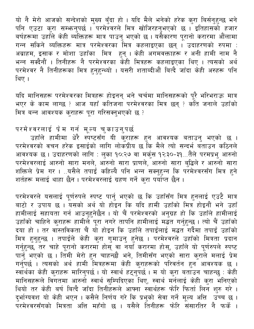यो नै मेरो आजको सन्देशको मुख्य बुँदा हो । यदि मैले भनेको हरेक कुरा बिर्सनुहुन्छ भने पनि एउटा कुरा सम्भन्तुपर्छ । परमेश्वरले मित्र खोजिरहनुभएको छ । इतिहासको हजार बर्षहरूमा उहाँले केही ब्यक्तिहरू मात्र पाउनु भएको छ । यसैकारण पूरानो करारमा औंलामा गन्न सकिने ब्यक्तिहरू मात्र परमेश्वरका मित्र कहलाइएका छन् । उदाहरणको रुपमा : अब्राहम, इसाक र मोशा उहाँका मित्र हुन् । केही अगमवक्ताहरू र अनी हामी नाम नै<br>भन्न सक्दैनौं । तिनीहरू नै परमेश्वरका केही मित्रहरू कहलाइएका थिए । त्यसको अर्थ परमेश्वर नै तिनीहरूका मित्र हुनुहुन्थ्यो । यसरी शताब्दीऔं बित्दै जाँदा केही अरुहरू पनि थिए ।

यदि मानिसहरू परमेश्वरका मित्रहरू होइनन् भने चर्चमा मानिसहरूको पूरै भरिभराऊ मात्र भएर के काम लाग्छ ? आज यहाँ कतिजना परमेश्वरका मित्र छन् ? कोत जनाले उहाँको मित्र बन्न आवश्यक कुराहरू पूरा गरिसक्नुभएको छ ?

#### परमेश्वरलाई प्रेम गर्न मूल्य चुकाउनुपर्छ

उहाँले हामीमा धेरै स्पेष्टसँग यी कुराहरू हुन आवश्यक बताउनु भएको छ । परमेश्वरको वचन हरेक इसाईको लागि लोकप्रीय छ कि मैले त्यो सन्दर्भ बताउन कठिनले आवश्यक छ । उदाहरणको लागि : लुका १०:२७ वा मर्कुस १२:३०-३१...तैले परमप्रभु आरुनो<br>परमेश्वरलाई आरुनो सारा मनले, आरुनो सारा प्राणले, आरुनो सारा बुद्धिले र आरुनो सारा<br>शक्तिले प्रेम गर । ..यसैले तपाईं कहिल्यै पनि भन्न सक्नुहुन्न .<br>शर्तहरू मलाई थाहा छैन । परमेश्वरलाई ग्रहण गर्ने करा पर्याप्त छैन ।

परमेश्वरले यसलाई पूर्णरुपले स्पष्ट पार्नु भएको छ कि उहाँसँग मित्र हुनलाई एउटै मात्र बाटो र उपाय छ । यसको अर्थ यो होइन कि यदि हामी उहाँको मित्र होइनौं भने उहाँ हामीलाई सहायता गर्न आउनुहुनेछैन । यो चैं परमेश्वरको अनुग्रह हो कि उहाँले हामीलाई उहाँको चाहिने कुराहरू हामीले पूरा नगरे तापनि हामीलाई मद्धत गर्नुहुन्छ । त्यो चैं उहाँको दया हो । तर वास्तविकता चैं यो होइन कि उहाँले तपाईलाई मद्धत गर्दैमा तपाई उहाँको मित्र हुनुहुन्छ । तपाईंले केही कुरा गुमाउनु हुनेछ । परमेश्वरले उहाँको मित्रता प्रदान न्मित्र हुनुहुन्छ । संविधिल कहा कुरी सुमाउनु हुनछ । वस्मरवरले उहाकी निवर्सा ब्रेवेन<br>गर्नुहुन्छ, तर चाहे पूरानो करारमा होस् वा नयाँ करारमा होस्, उहाँले यो पूर्णरुपले स्पष्ट<br>पार्नु भएको छ । तिमी मेरो हुन चाहन्छौ भने, तिमीसँ .<br>थियो तर केही बर्ष बित्दै जाँदा तिनीहरूले आफ्ना स्वार्थहरू फोरि फिर्ता लिन शुरु गरे । दुर्भाग्यवश यो केही भएन । कसैले निर्णय गरे कि प्रभुको सेवा गर्ने मूल्य अत्ति उच्च छ । ्<br>परमेश्वरसँगको मित्रता अत्ति महँगो छ । यसैले तिनीहरू फोरि संसारतिर नै फर्के ।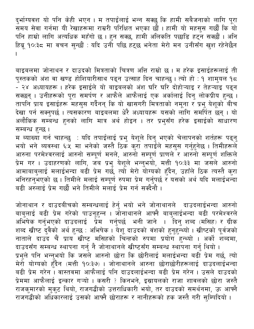दुर्भाग्यवश यो पनि केही भएन । म तपाईलाई भन्न सक्छु कि हामी सबैजनाको लागि पूरा समय सेवा गर्नमा यी रेखाहरूमा राम्ररी परिक्षित भएका छौं । हामी यो महसूस गर्छौं कि यो पनि हाम्रो लागि अत्यधिक महँगो छ । हुन सक्छ, हामी अलिकति पछाडि हट्न सक्छौं । अनि हिब्रू १०:३८ मा वचन सुन्छौं : यदि उनी पछि हट्छ भनेता मेरो मन उनीसँग खश रहेनेछैन

बाइबलमा जोनाथन र दाउदको मित्रताको चित्रण अत्ति राम्रो छ । म हरेक इसाईहरूलाई ती पुस्तकको अंश वा खण्ड होशियारीसाथ पढ्न उत्साह दिन चाहन्छु । त्यो हो : १ शामुयल १८ <u>ँ</u> २४ अध्यायहरू । हरेक इसाईले यो बाइबलको अंश घरि घरि दोहोऱ्याइ र तेहऱ्याइ पढ्न सक्छन् । उनीहरूको पूरा समर्पण र आफैले आफैलाई एक अर्कालाई दिनु लोकप्रीय हुन्छ । तापनि प्राय इसाईहरू महसुस गर्दैनन् कि यो खासगरी मित्रताको नमूना र प्रभु येशूको बीच देखा पर्न सक्नुपर्छ । त्यसकारण बाइबलमा धेरै अध्यायहरू यसको लागि समर्पित छन् । यो अलौकिक सम्बन्ध हुनको लागि मात्र अर्थ होइन । तर प्रभुसँग हरेक इसाईको साधारण सम्बन्ध हुन्छ।

म ब्याख्या गर्न चाहन्छु : यदि तपाईंलाई प्रभु येशूले दिनु भएको चेलापनको शर्तहरू पढ्नु म प्याख्या गंग पाहेन्छु ः पाद तेपाइलाई प्रेमु पर्शूल दिनु मेएका पलापनका रातहरू पढ्नु<br>भयो भने ब्यवस्था ६:५ मा भनेको जस्तै ठिक कुरा तपाईले महसुस गर्नुहुनेछ । तिमीहरूले<br>आरुना परमेश्वरलाई आरुनो सम्पूर्ण मनले, आरुनो सम्पूर्ण प बढी अरुलाई प्रेम गर्छौ भने तिमीले मलाई प्रेम गर्न सक्दैनौ ।

जोनाथान र दाउदबीचको सम्बन्धलाई हेर्नु भयो भने जोनाथानले दाउदलाईभन्दा आरुनो बाबुलाई बढी प्रेम गरेको पाउनुहुन्न । जोनाथानले आफ्नै बाबुलाईभन्दा बढी परमेश्वरले अभिषेक गर्नुभएको दाउदलाई प्रेम गर्नुपर्छ भनी जाने । दिनु शब्द (मसिह) र ग्रीक शब्द खीष्ट दुवैको अर्थ हुन्छ : अभिषेक । येशू दाउदको वंशको हुनुहुन्थ्यो । खीष्टको पूर्वजको नाताले दाउँद चैं प्राय खीष्ट मसिहको चिन्हको रुपमा प्रयोग हुन्थ्यो । अर्को शब्दमा, दाउदसँग सम्बन्ध स्थापना गर्नु नै जोनाथानले खीष्टसँग सम्बन्ध स्थापना गर्नु थियो । प्रभुले पनि भन्नुभयो कि जसले आरुनो छोरा कि छोरीलाई मलाईभन्दा बढी प्रेम गर्छ, त्यो .<br>मेरो योग्यको हुँदैन (मत्ती १०:३७) । जोनाथानले आरुना छोराछोरीहरूलाई दाउदलाईभन्दा<br>बढी प्रेम गरेन । वास्तवमा आफैलाई पनि दाउदलाईभन्दा बढी प्रेम गरेन । उसले दाउदको .<br>प्रेममा आफैलाई इन्कार गऱ्यो । कसरी ? किनभने, इस्रायलको राजा शावलको छोरा जस्तै राजकुमारको मुकुट थियो, राजगद्धीको उत्तराधिकारी भयो, तर दाउदको समर्थनमा, ऊ आफ्नै राजगद्धीको अधिकारलाई उसको आफ्नै छोराहरू र नानीहरूको हक जस्तै गरी सुम्पिदियो ।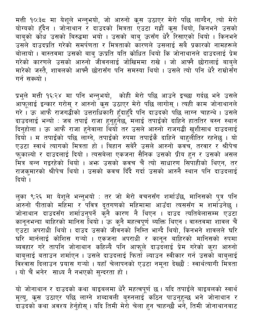मत्ती १०:३८ मा येशूले भन्नुभयो, जो आरुनो कृस उठाएर मेरो पछि लाग्दैन, त्यो मेरो योग्यको हुँदैन । जोनोथान र दाउदको मित्रता एउटा गह्रौं कूस थियो, किनभने उसको बाबुको कोध उसको बिरुद्धमा भयो । उसको बाबु ऊसँग धेरै रिसाएको थियो । किनभने उसले दाउदप्रति गरेको समर्पणता र मित्रताको कारणले उसलाई सबै प्रकारको नामहरूले बोलायो । वास्तवमा उसको बाबु ऊप्रति यति कोधित थियो कि जोनाथानले दाउदलाई प्रेम<br>गरेको कारणले उसको आरुनो जीवनलाई जोखिममा राखे । जो आफ्नै छोरालाई बाबुले मारेको जस्तै, शावलको आफ्नै छोरासँग पनि समस्या थियो । उसले त्यो पनि धेरै राम्रोसँग गर्न सक्थ्यो ।

प्रभुले मत्ती १६:२४ मा पनि भन्नुभयो, कोही मेरो पछि आउने इच्छा गर्दछ भने उसले आफूलाई इन्कार गरोस् र आरुनो कृस उठाएर मेरो पछि लागोस् । त्यही काम जोनाथानले गरे। ऊ आफै राजगद्धीको उत्तराधिकारी हुँदाहुँदै पनि दाउदको पछि लाग्न चाहन्थे। उसले दाउदलाई भन्यो : जब तपाईं राजा हुनुहुनेछ, मलाई तपाईंको दाहिने हाततिर बस्न स्थान दिनुहोला । ऊ आफै राजा हुनेवाला थियो तर उसले आरुनो राजगद्धी खुशीसाथ दाउदलाई दियो । म तपाईको पछि लाँग्ने, तपाईँको रुपमा तपाईँकै दाहिने बाहुलीतिर रहनेछु । यो रिति से स्वार्थ त्यागको मित्रता हो । बिहान सबेरै उसले आरुनो कवच, तरवार र श्रीपेच<br>फुकाल्यो र दाउदलाई दियो । त्यसबेला एकजना सैनिक उसको प्रीय हुन र उसको असल<br>मित्र बन्न गइरहेको थियो । अभ्ग उसको कवच चैं त्यो साधारण सिपाहीको थि राजकुमारको श्रीपेच थियो । उसको कवच दिँदै गर्दा उसको आरुनै स्थान पनि दाउदलाई दियो ।

लुका ९:२६ मा येशूले भन्नुभयो : तर जो मेरो वचनसँग शर्माउँछ, मानिसको पुत्र पनि आरुनो पीताको महिमा र<sup>ँ</sup>पवित्र दूतगणको महिमामा आउँदा त्यससँग म शर्माउनेछ ।<br>जोनाथान दाउदसँग शर्माउनुपर्ने कुनै कारण नै थिएन । दाउद त्यतिबेलासम्म एउटा कानूनभन्दा बाहिरको मानिस थियो । ऊ कुनै महत्वपूर्ण ब्यक्ति थिएन । वास्तवमा शावल चैं एउटा अपराधी थियो । दाउद उसको जीवनको निम्ति भाग्दै थियो, किनभने शावलले घरि घरि मार्नलाई कोशिस गऱ्यो । एकजना अपराधी र कानून बाहिरको मानिसको रुपमा ब्यवहार गरे तापनि जोनाथान कहिल्यै पनि आफूले दाउदलाई प्रेम गरेको कुरा आरुनो<br>बाबुलाई बताउन शर्माएन । उसले दाउदलाई फिर्ता ल्याउन स्वीकार गर्न उसको बाबुलाई विश्वास दिलाउन प्रयास गऱ्यो । यहाँ चेलापनको एउटा नमूना देख्छौं : स्वार्थत्यागी मित्रता । यो चैं भनेर साध्य नै नभएको सुन्दरता हो ।

यो जोनाथान र दाउदको कथा बाइबलमा धेरै महत्वपूर्ण छ । यदि तपाईंले बाइबलको स्वार्थ मृत्यु, कृस उठाएर पछि लाग्ने शब्दावली बुरुनलाई कठिन पाउनुहुन्छ भने जोनाथान र दाउँदको कथा अवश्य हेर्नुहोस् । यदि तिमी मेरो चेला हुन चाहन्छौ भने, तिमी जोनाथानबाट